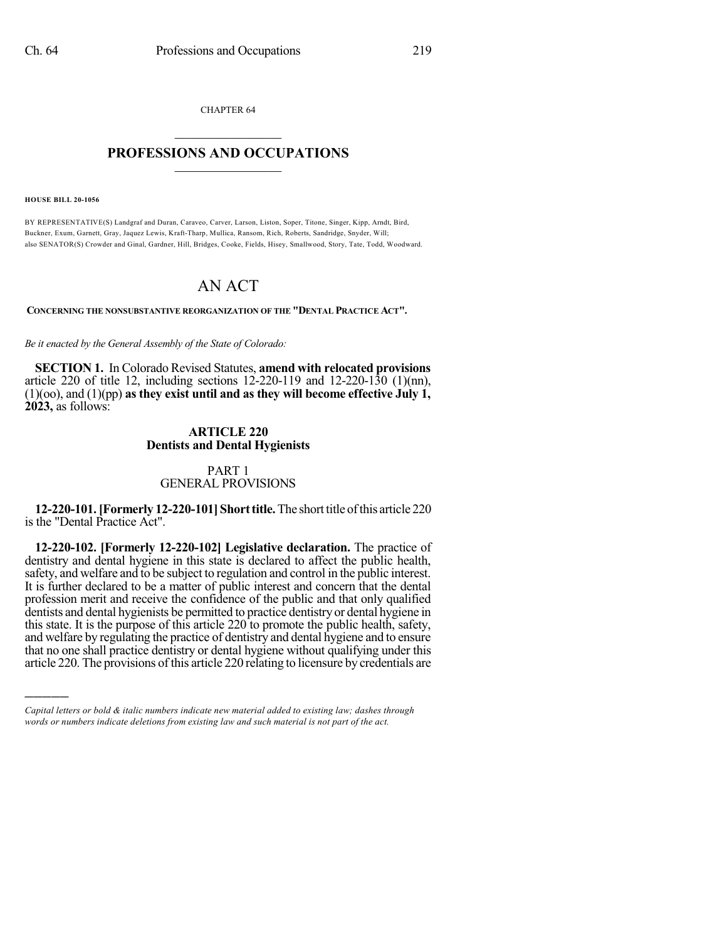CHAPTER 64  $\mathcal{L}_\text{max}$  . The set of the set of the set of the set of the set of the set of the set of the set of the set of the set of the set of the set of the set of the set of the set of the set of the set of the set of the set

#### **PROFESSIONS AND OCCUPATIONS**  $\frac{1}{2}$  ,  $\frac{1}{2}$  ,  $\frac{1}{2}$  ,  $\frac{1}{2}$  ,  $\frac{1}{2}$  ,  $\frac{1}{2}$  ,  $\frac{1}{2}$

**HOUSE BILL 20-1056**

)))))

BY REPRESENTATIVE(S) Landgraf and Duran, Caraveo, Carver, Larson, Liston, Soper, Titone, Singer, Kipp, Arndt, Bird, Buckner, Exum, Garnett, Gray, Jaquez Lewis, Kraft-Tharp, Mullica, Ransom, Rich, Roberts, Sandridge, Snyder, Will; also SENATOR(S) Crowder and Ginal, Gardner, Hill, Bridges, Cooke, Fields, Hisey, Smallwood, Story, Tate, Todd, Woodward.

# AN ACT

**CONCERNING THE NONSUBSTANTIVE REORGANIZATION OF THE "DENTAL PRACTICE ACT".**

*Be it enacted by the General Assembly of the State of Colorado:*

**SECTION 1.** In Colorado Revised Statutes, **amend with relocated provisions** article 220 of title 12, including sections 12-220-119 and 12-220-130 (1)(nn), (1)(oo), and (1)(pp) **as they exist until and as they will become effective July 1, 2023,** as follows:

#### **ARTICLE 220 Dentists and Dental Hygienists**

### PART 1 GENERAL PROVISIONS

**12-220-101.[Formerly 12-220-101]Shorttitle.**The shorttitle ofthis article 220 is the "Dental Practice Act".

**12-220-102. [Formerly 12-220-102] Legislative declaration.** The practice of dentistry and dental hygiene in this state is declared to affect the public health, safety, and welfare and to be subject to regulation and control in the public interest. It is further declared to be a matter of public interest and concern that the dental profession merit and receive the confidence of the public and that only qualified dentists and dental hygienists be permitted to practice dentistry or dental hygiene in this state. It is the purpose of this article 220 to promote the public health, safety, and welfare by regulating the practice of dentistry and dental hygiene and to ensure that no one shall practice dentistry or dental hygiene without qualifying under this article 220. The provisions of this article 220 relating to licensure by credentials are

*Capital letters or bold & italic numbers indicate new material added to existing law; dashes through words or numbers indicate deletions from existing law and such material is not part of the act.*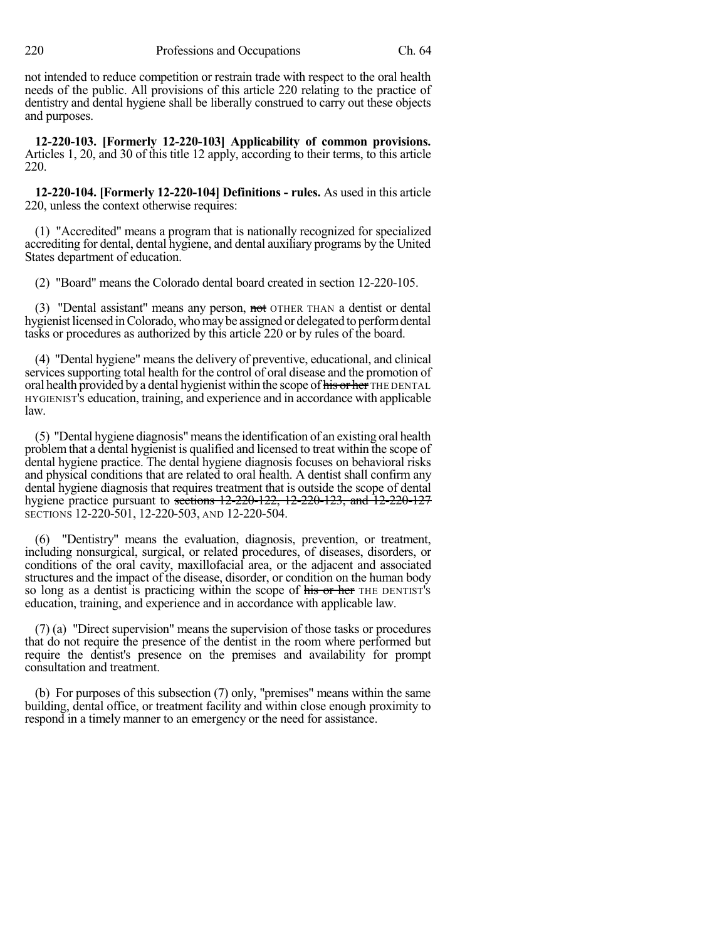not intended to reduce competition or restrain trade with respect to the oral health needs of the public. All provisions of this article 220 relating to the practice of dentistry and dental hygiene shall be liberally construed to carry out these objects and purposes.

**12-220-103. [Formerly 12-220-103] Applicability of common provisions.** Articles 1, 20, and 30 of this title 12 apply, according to their terms, to this article 220.

**12-220-104. [Formerly 12-220-104] Definitions - rules.** As used in this article 220, unless the context otherwise requires:

(1) "Accredited" means a program that is nationally recognized for specialized accrediting for dental, dental hygiene, and dental auxiliary programs by the United States department of education.

(2) "Board" means the Colorado dental board created in section 12-220-105.

(3) "Dental assistant" means any person, not OTHER THAN a dentist or dental hygienist licensed inColorado, whomaybe assigned or delegated to performdental tasks or procedures as authorized by this article 220 or by rules of the board.

(4) "Dental hygiene" means the delivery of preventive, educational, and clinical services supporting total health for the control of oral disease and the promotion of oral health provided by a dental hygienist within the scope of his or her THE DENTAL HYGIENIST'S education, training, and experience and in accordance with applicable law.

(5) "Dental hygiene diagnosis"meansthe identification of an existing oral health problemthat a dental hygienist is qualified and licensed to treat within the scope of dental hygiene practice. The dental hygiene diagnosis focuses on behavioral risks and physical conditions that are related to oral health. A dentist shall confirm any dental hygiene diagnosis that requires treatment that is outside the scope of dental hygiene practice pursuant to sections 12-220-122, 12-220-123, and 12-220-127 SECTIONS 12-220-501, 12-220-503, AND 12-220-504.

(6) "Dentistry" means the evaluation, diagnosis, prevention, or treatment, including nonsurgical, surgical, or related procedures, of diseases, disorders, or conditions of the oral cavity, maxillofacial area, or the adjacent and associated structures and the impact of the disease, disorder, or condition on the human body so long as a dentist is practicing within the scope of his or her THE DENTIST's education, training, and experience and in accordance with applicable law.

(7) (a) "Direct supervision" means the supervision of those tasks or procedures that do not require the presence of the dentist in the room where performed but require the dentist's presence on the premises and availability for prompt consultation and treatment.

(b) For purposes of this subsection (7) only, "premises" means within the same building, dental office, or treatment facility and within close enough proximity to respond in a timely manner to an emergency or the need for assistance.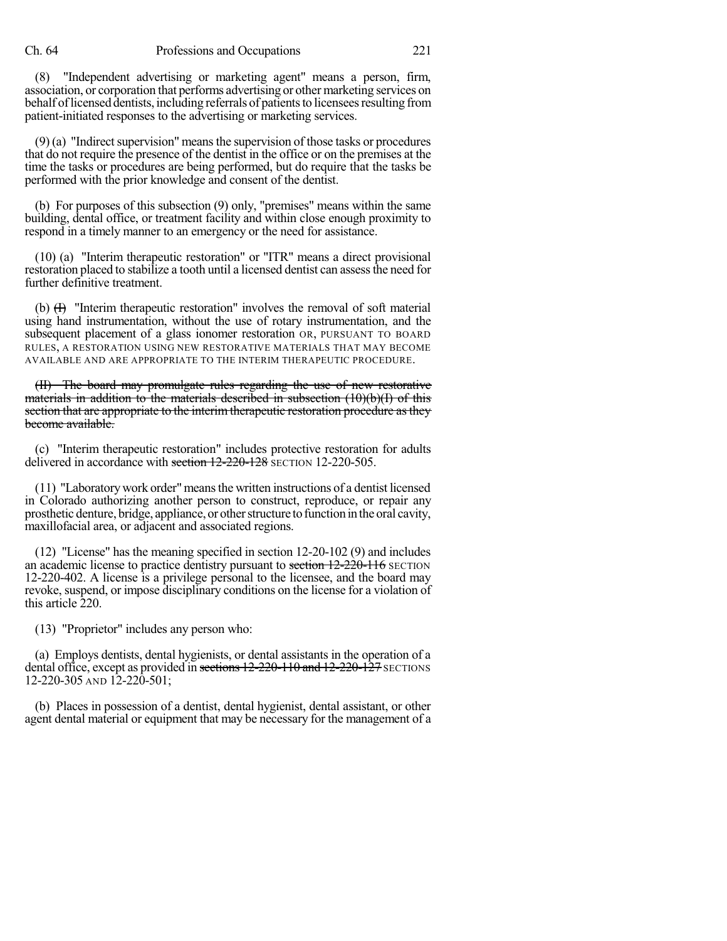(8) "Independent advertising or marketing agent" means a person, firm, association, or corporation that performs advertising or other marketing services on behalf of licensed dentists, including referrals of patients to licensees resulting from patient-initiated responses to the advertising or marketing services.

 $(9)$  (a) "Indirect supervision" means the supervision of those tasks or procedures that do not require the presence of the dentist in the office or on the premises at the time the tasks or procedures are being performed, but do require that the tasks be performed with the prior knowledge and consent of the dentist.

(b) For purposes of this subsection (9) only, "premises" means within the same building, dental office, or treatment facility and within close enough proximity to respond in a timely manner to an emergency or the need for assistance.

(10) (a) "Interim therapeutic restoration" or "ITR" means a direct provisional restoration placed to stabilize a tooth until a licensed dentist can assessthe need for further definitive treatment.

(b)  $(H)$  "Interim therapeutic restoration" involves the removal of soft material using hand instrumentation, without the use of rotary instrumentation, and the subsequent placement of a glass ionomer restoration OR, PURSUANT TO BOARD RULES, A RESTORATION USING NEW RESTORATIVE MATERIALS THAT MAY BECOME AVAILABLE AND ARE APPROPRIATE TO THE INTERIM THERAPEUTIC PROCEDURE.

(II) The board may promulgate rules regarding the use of new restorative materials in addition to the materials described in subsection  $(10)(b)(f)$  of this section that are appropriate to the interim therapeutic restoration procedure as they become available.

(c) "Interim therapeutic restoration" includes protective restoration for adults delivered in accordance with section  $12-220-128$  SECTION 12-220-505.

(11) "Laboratorywork order"meansthe written instructions of a dentist licensed in Colorado authorizing another person to construct, reproduce, or repair any prosthetic denture, bridge, appliance, or other structure to function in the oral cavity, maxillofacial area, or adjacent and associated regions.

(12) "License" has the meaning specified in section 12-20-102 (9) and includes an academic license to practice dentistry pursuant to section 12-220-116 SECTION 12-220-402. A license is a privilege personal to the licensee, and the board may revoke, suspend, or impose disciplinary conditions on the license for a violation of this article 220.

(13) "Proprietor" includes any person who:

(a) Employs dentists, dental hygienists, or dental assistants in the operation of a dental office, except as provided in sections 12-220-110 and 12-220-127 SECTIONS 12-220-305 AND 12-220-501;

(b) Places in possession of a dentist, dental hygienist, dental assistant, or other agent dental material or equipment that may be necessary for the management of a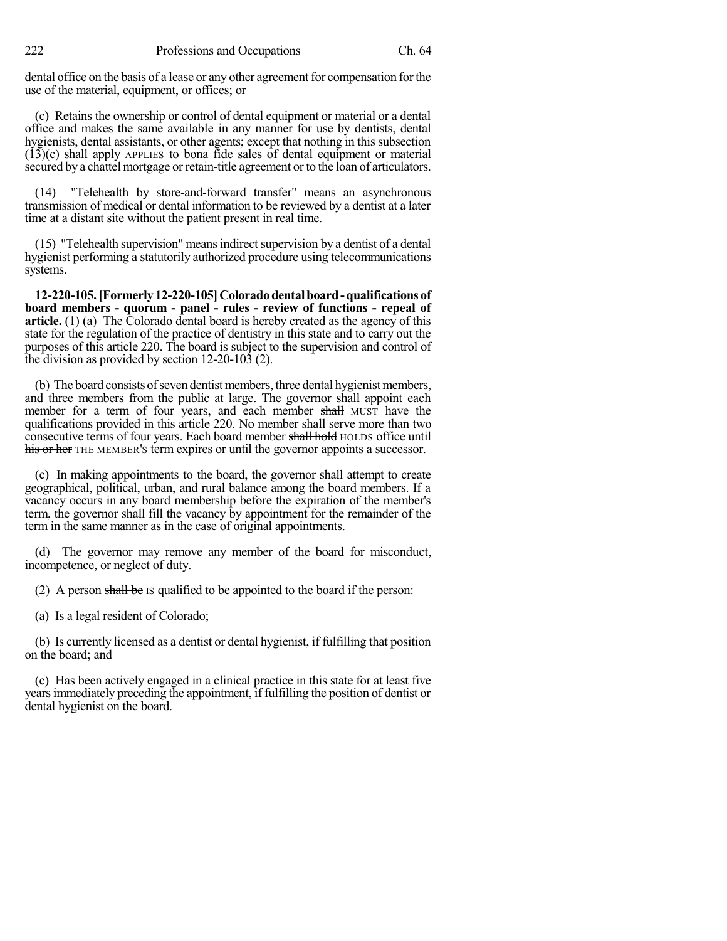222 Professions and Occupations Ch. 64

dental office on the basis of a lease or any other agreement for compensation for the use of the material, equipment, or offices; or

(c) Retains the ownership or control of dental equipment or material or a dental office and makes the same available in any manner for use by dentists, dental hygienists, dental assistants, or other agents; except that nothing in this subsection  $(13)(c)$  shall apply APPLIES to bona fide sales of dental equipment or material secured by a chattel mortgage or retain-title agreement or to the loan of articulators.

(14) "Telehealth by store-and-forward transfer" means an asynchronous transmission of medical or dental information to be reviewed by a dentist at a later time at a distant site without the patient present in real time.

 $(15)$  "Telehealth supervision" means indirect supervision by a dentist of a dental hygienist performing a statutorily authorized procedure using telecommunications systems.

**12-220-105.[Formerly 12-220-105]Coloradodentalboard-qualifications of board members - quorum - panel - rules - review of functions - repeal of article.** (1) (a) The Colorado dental board is hereby created as the agency of this state for the regulation of the practice of dentistry in this state and to carry out the purposes of this article 220. The board is subject to the supervision and control of the division as provided by section 12-20-103 (2).

(b) The board consists of seven dentist members, three dental hygienist members, and three members from the public at large. The governor shall appoint each member for a term of four years, and each member shall MUST have the qualifications provided in this article 220. No member shall serve more than two consecutive terms of four years. Each board member shall hold HOLDS office until his or her THE MEMBER's term expires or until the governor appoints a successor.

(c) In making appointments to the board, the governor shall attempt to create geographical, political, urban, and rural balance among the board members. If a vacancy occurs in any board membership before the expiration of the member's term, the governor shall fill the vacancy by appointment for the remainder of the term in the same manner as in the case of original appointments.

(d) The governor may remove any member of the board for misconduct, incompetence, or neglect of duty.

(2) A person shall be IS qualified to be appointed to the board if the person:

(a) Is a legal resident of Colorado;

(b) Is currently licensed as a dentist or dental hygienist, if fulfilling that position on the board; and

(c) Has been actively engaged in a clinical practice in this state for at least five yearsimmediately preceding the appointment, if fulfilling the position of dentist or dental hygienist on the board.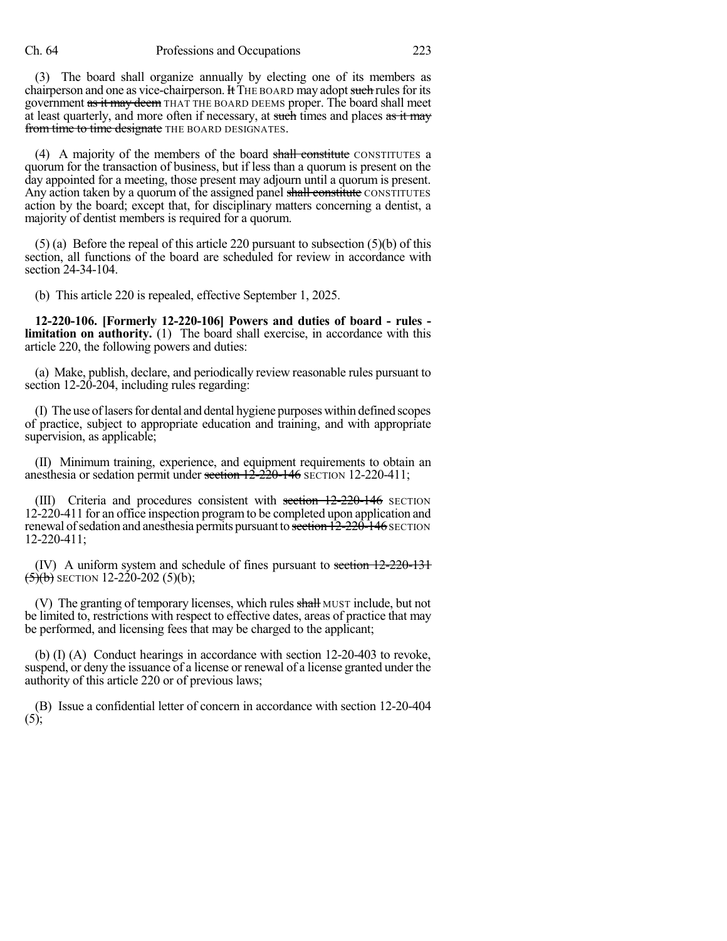(3) The board shall organize annually by electing one of its members as chairperson and one as vice-chairperson. It THE BOARD may adopt such rules for its government as it may deem THAT THE BOARD DEEMS proper. The board shall meet at least quarterly, and more often if necessary, at such times and places as it may from time to time designate THE BOARD DESIGNATES.

(4) A majority of the members of the board shall constitute CONSTITUTES a quorum for the transaction of business, but if less than a quorum is present on the day appointed for a meeting, those present may adjourn until a quorum is present. Any action taken by a quorum of the assigned panel shall constitute CONSTITUTES action by the board; except that, for disciplinary matters concerning a dentist, a majority of dentist members is required for a quorum.

 $(5)$  (a) Before the repeal of this article 220 pursuant to subsection  $(5)$  (b) of this section, all functions of the board are scheduled for review in accordance with section 24-34-104.

(b) This article 220 is repealed, effective September 1, 2025.

**12-220-106. [Formerly 12-220-106] Powers and duties of board - rules limitation on authority.** (1) The board shall exercise, in accordance with this article 220, the following powers and duties:

(a) Make, publish, declare, and periodically review reasonable rules pursuant to section 12-20-204, including rules regarding:

(I) The use oflasersfor dental and dental hygiene purposes within defined scopes of practice, subject to appropriate education and training, and with appropriate supervision, as applicable;

(II) Minimum training, experience, and equipment requirements to obtain an anesthesia or sedation permit under section  $12\text{-}220\text{-}146$  SECTION 12-220-411;

(III) Criteria and procedures consistent with section 12-220-146 SECTION 12-220-411 for an office inspection programto be completed upon application and renewal of sedation and anesthesia permits pursuant to section 12-220-146 SECTION 12-220-411;

(IV) A uniform system and schedule of fines pursuant to section  $12-220-131$  $\overline{(5)}$  $\overline{(b)}$  SECTION 12-220-202 (5)(b);

(V) The granting of temporary licenses, which rules shall MUST include, but not be limited to, restrictions with respect to effective dates, areas of practice that may be performed, and licensing fees that may be charged to the applicant;

(b) (I) (A) Conduct hearings in accordance with section 12-20-403 to revoke, suspend, or deny the issuance of a license or renewal of a license granted under the authority of this article 220 or of previous laws;

(B) Issue a confidential letter of concern in accordance with section 12-20-404 (5);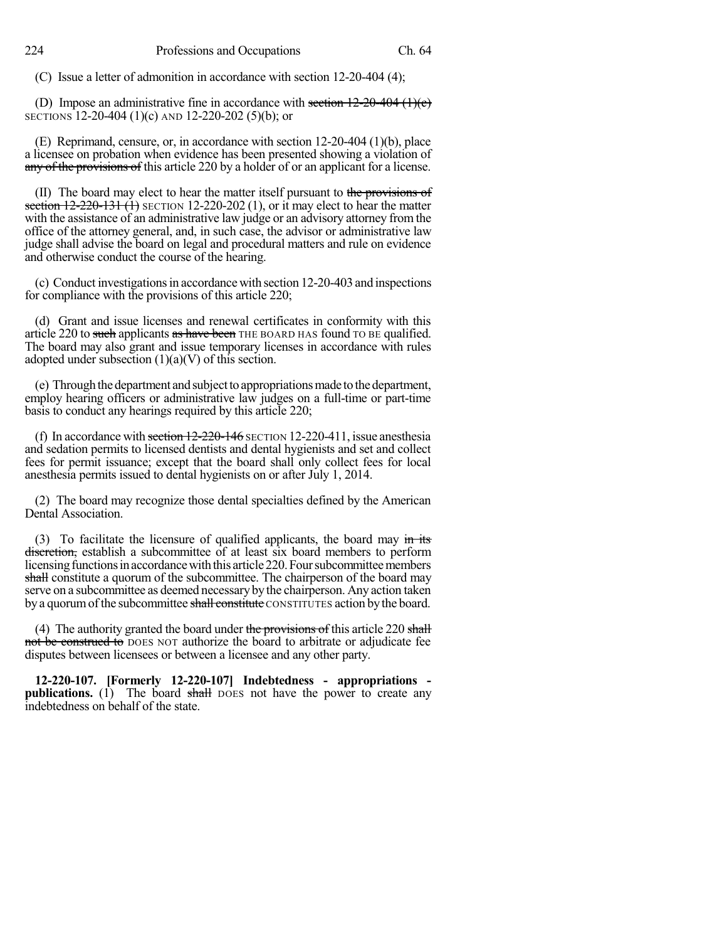(C) Issue a letter of admonition in accordance with section 12-20-404 (4);

(D) Impose an administrative fine in accordance with section  $12\text{-}20\text{-}404$  (1)(e) SECTIONS 12-20-404 (1)(c) AND 12-220-202 (5)(b); or

(E) Reprimand, censure, or, in accordance with section 12-20-404 (1)(b), place a licensee on probation when evidence has been presented showing a violation of any of the provisions of this article 220 by a holder of or an applicant for a license.

(II) The board may elect to hear the matter itself pursuant to the provisions of section  $12-220-131(1)$  SECTION 12-220-202 (1), or it may elect to hear the matter with the assistance of an administrative law judge or an advisory attorney from the office of the attorney general, and, in such case, the advisor or administrative law judge shall advise the board on legal and procedural matters and rule on evidence and otherwise conduct the course of the hearing.

(c) Conduct investigationsin accordance with section 12-20-403 and inspections for compliance with the provisions of this article 220;

(d) Grant and issue licenses and renewal certificates in conformity with this article 220 to such applicants as have been THE BOARD HAS found TO BE qualified. The board may also grant and issue temporary licenses in accordance with rules adopted under subsection  $(1)(a)(V)$  of this section.

(e) Through the department and subject to appropriations made to the department, employ hearing officers or administrative law judges on a full-time or part-time basis to conduct any hearings required by this article 220;

(f) In accordance with section  $12-220-146$  SECTION 12-220-411, issue anesthesia and sedation permits to licensed dentists and dental hygienists and set and collect fees for permit issuance; except that the board shall only collect fees for local anesthesia permits issued to dental hygienists on or after July 1, 2014.

(2) The board may recognize those dental specialties defined by the American Dental Association.

(3) To facilitate the licensure of qualified applicants, the board may  $\frac{in}{it}$ discretion, establish a subcommittee of at least six board members to perform licensing functions in accordance with this article 220. Four subcommittee members shall constitute a quorum of the subcommittee. The chairperson of the board may serve on a subcommittee as deemed necessary by the chairperson. Any action taken by a quorum of the subcommittee shall constitute CONSTITUTES action by the board.

(4) The authority granted the board under the provisions of this article 220 shall not be construed to DOES NOT authorize the board to arbitrate or adjudicate fee disputes between licensees or between a licensee and any other party.

**12-220-107. [Formerly 12-220-107] Indebtedness - appropriations publications.** (1) The board shall DOES not have the power to create any indebtedness on behalf of the state.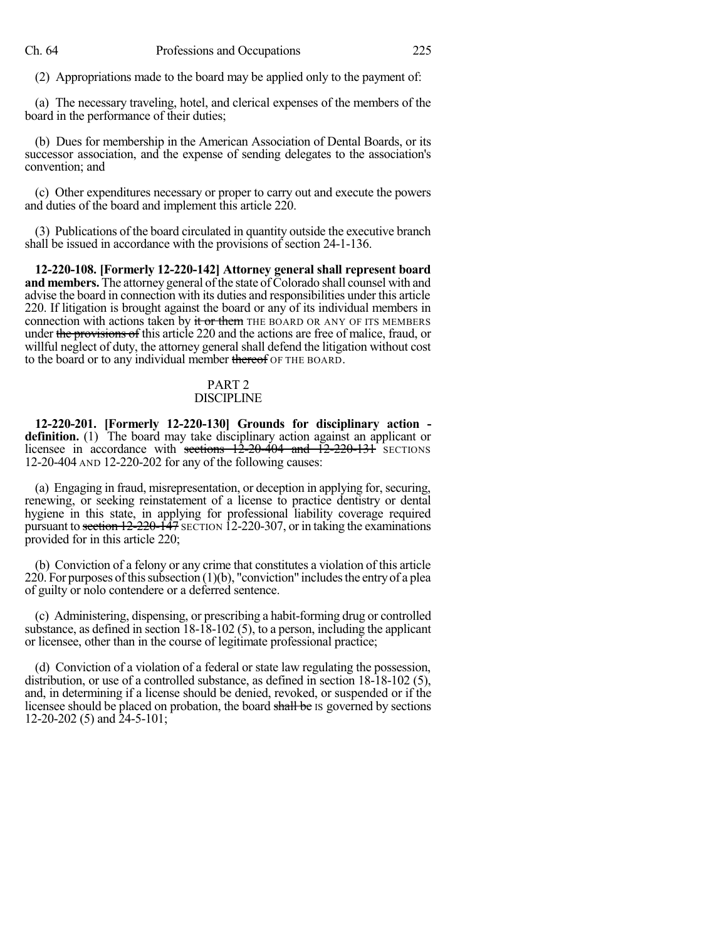(2) Appropriations made to the board may be applied only to the payment of:

(a) The necessary traveling, hotel, and clerical expenses of the members of the board in the performance of their duties;

(b) Dues for membership in the American Association of Dental Boards, or its successor association, and the expense of sending delegates to the association's convention; and

(c) Other expenditures necessary or proper to carry out and execute the powers and duties of the board and implement this article 220.

(3) Publications of the board circulated in quantity outside the executive branch shall be issued in accordance with the provisions of section 24-1-136.

**12-220-108. [Formerly 12-220-142] Attorney general shall represent board and members.** The attorney general of the state of Colorado shall counsel with and advise the board in connection with its duties and responsibilities under this article 220. If litigation is brought against the board or any of its individual members in connection with actions taken by it or them THE BOARD OR ANY OF ITS MEMBERS under the provisions of this article 220 and the actions are free of malice, fraud, or willful neglect of duty, the attorney general shall defend the litigation without cost to the board or to any individual member thereof OF THE BOARD.

## PART 2

### DISCIPLINE

**12-220-201. [Formerly 12-220-130] Grounds for disciplinary action definition.** (1) The board may take disciplinary action against an applicant or licensee in accordance with sections  $12-20-404$  and  $12-220-131$  SECTIONS 12-20-404 AND 12-220-202 for any of the following causes:

(a) Engaging in fraud, misrepresentation, or deception in applying for,securing, renewing, or seeking reinstatement of a license to practice dentistry or dental hygiene in this state, in applying for professional liability coverage required pursuant to section 12-220-147 SECTION 12-220-307, or in taking the examinations provided for in this article 220;

(b) Conviction of a felony or any crime that constitutes a violation of this article 220. For purposes of this subsection  $(1)(b)$ , "conviction" includes the entry of a plea of guilty or nolo contendere or a deferred sentence.

(c) Administering, dispensing, or prescribing a habit-forming drug or controlled substance, as defined in section 18-18-102 (5), to a person, including the applicant or licensee, other than in the course of legitimate professional practice;

(d) Conviction of a violation of a federal or state law regulating the possession, distribution, or use of a controlled substance, as defined in section 18-18-102 (5), and, in determining if a license should be denied, revoked, or suspended or if the licensee should be placed on probation, the board shall be IS governed by sections 12-20-202 (5) and 24-5-101;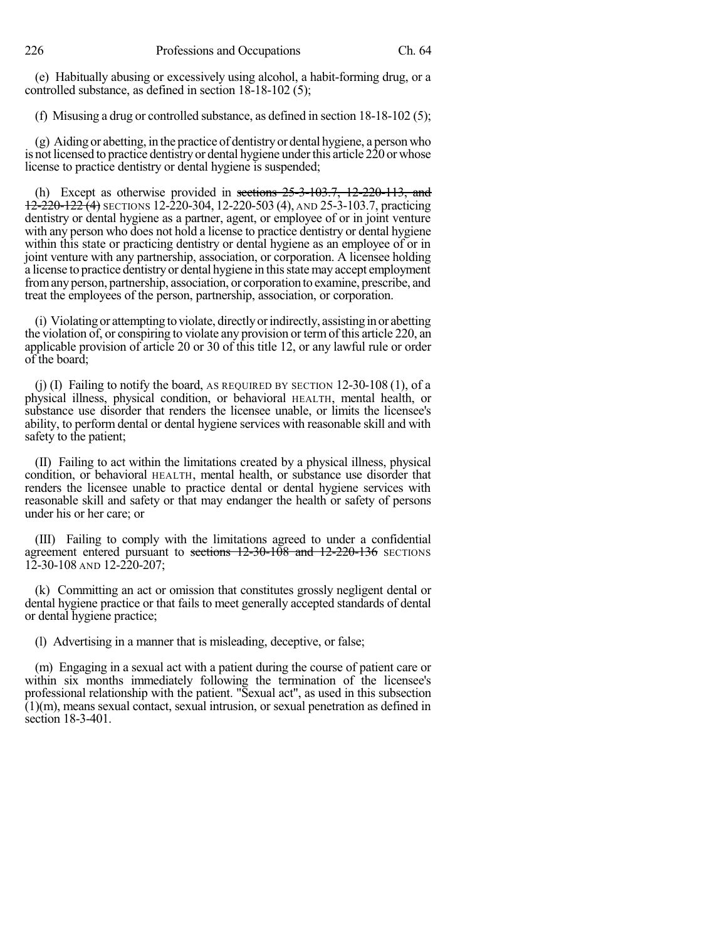(e) Habitually abusing or excessively using alcohol, a habit-forming drug, or a controlled substance, as defined in section 18-18-102 (5);

(f) Misusing a drug or controlled substance, as defined in section 18-18-102 (5);

(g) Aiding or abetting, in the practice of dentistryor dental hygiene, a person who is not licensed to practice dentistry or dental hygiene under this article 220 or whose license to practice dentistry or dental hygiene is suspended;

(h) Except as otherwise provided in sections  $25-3-103.7$ ,  $12-220-113$ , and  $12-220-122$  (4) SECTIONS 12-220-304, 12-220-503 (4), AND 25-3-103.7, practicing dentistry or dental hygiene as a partner, agent, or employee of or in joint venture with any person who does not hold a license to practice dentistry or dental hygiene within this state or practicing dentistry or dental hygiene as an employee of or in joint venture with any partnership, association, or corporation. A licensee holding a license to practice dentistryor dental hygiene in thisstate may accept employment fromanyperson, partnership, association, or corporation to examine, prescribe, and treat the employees of the person, partnership, association, or corporation.

(i) Violating or attempting to violate, directlyorindirectly, assisting inor abetting the violation of, or conspiring to violate any provision or termof this article 220, an applicable provision of article 20 or 30 of this title 12, or any lawful rule or order of the board;

(j) (I) Failing to notify the board, AS REQUIRED BY SECTION  $12-30-108(1)$ , of a physical illness, physical condition, or behavioral HEALTH, mental health, or substance use disorder that renders the licensee unable, or limits the licensee's ability, to perform dental or dental hygiene services with reasonable skill and with safety to the patient;

(II) Failing to act within the limitations created by a physical illness, physical condition, or behavioral HEALTH, mental health, or substance use disorder that renders the licensee unable to practice dental or dental hygiene services with reasonable skill and safety or that may endanger the health or safety of persons under his or her care; or

(III) Failing to comply with the limitations agreed to under a confidential agreement entered pursuant to sections 12-30-108 and 12-220-136 SECTIONS 12-30-108 AND 12-220-207;

(k) Committing an act or omission that constitutes grossly negligent dental or dental hygiene practice or that fails to meet generally accepted standards of dental or dental hygiene practice;

(l) Advertising in a manner that is misleading, deceptive, or false;

(m) Engaging in a sexual act with a patient during the course of patient care or within six months immediately following the termination of the licensee's professional relationship with the patient. "Sexual act", as used in this subsection (1)(m), means sexual contact, sexual intrusion, or sexual penetration as defined in section 18-3-401.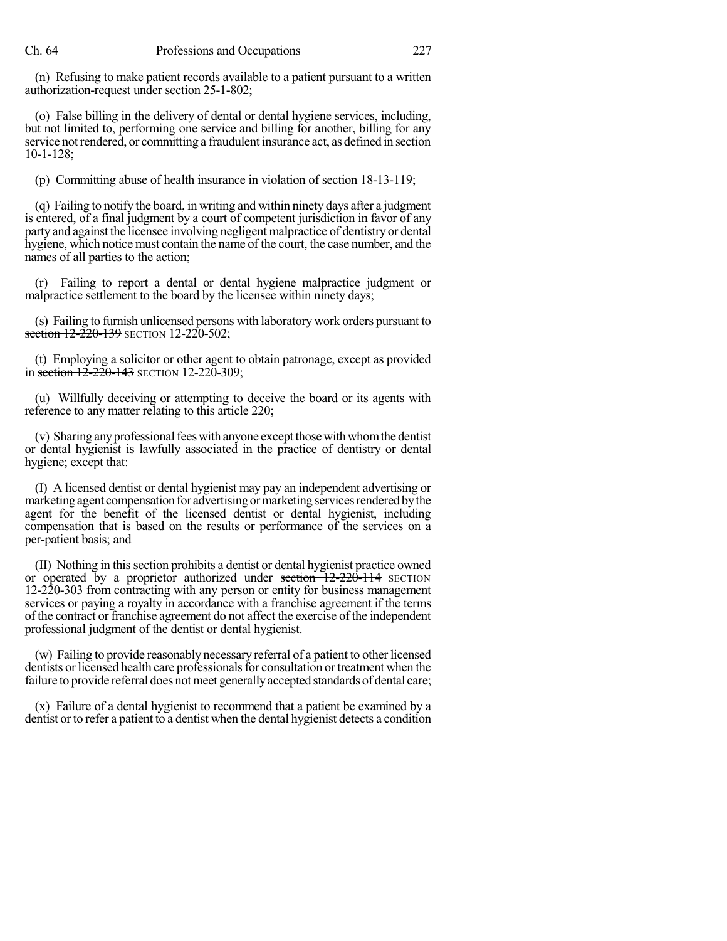(n) Refusing to make patient records available to a patient pursuant to a written authorization-request under section 25-1-802;

(o) False billing in the delivery of dental or dental hygiene services, including, but not limited to, performing one service and billing for another, billing for any service not rendered, or committing a fraudulent insurance act, as defined in section 10-1-128;

(p) Committing abuse of health insurance in violation of section 18-13-119;

(q) Failing to notify the board, in writing and within ninety days after a judgment is entered, of a final judgment by a court of competent jurisdiction in favor of any party and against the licensee involving negligent malpractice of dentistry or dental hygiene, which notice must contain the name of the court, the case number, and the names of all parties to the action;

(r) Failing to report a dental or dental hygiene malpractice judgment or malpractice settlement to the board by the licensee within ninety days;

(s) Failing to furnish unlicensed persons with laboratory work orders pursuant to section 12-220-139 SECTION 12-220-502;

(t) Employing a solicitor or other agent to obtain patronage, except as provided in section 12-220-143 SECTION 12-220-309;

(u) Willfully deceiving or attempting to deceive the board or its agents with reference to any matter relating to this article 220;

(v) Sharing any professional fees with anyone except those with whom the dentist or dental hygienist is lawfully associated in the practice of dentistry or dental hygiene; except that:

(I) A licensed dentist or dental hygienist may pay an independent advertising or marketing agent compensation for advertising or marketing services rendered by the agent for the benefit of the licensed dentist or dental hygienist, including compensation that is based on the results or performance of the services on a per-patient basis; and

(II) Nothing in thissection prohibits a dentist or dental hygienist practice owned or operated by a proprietor authorized under section  $12-220-114$  SECTION 12-220-303 from contracting with any person or entity for business management services or paying a royalty in accordance with a franchise agreement if the terms of the contract or franchise agreement do not affect the exercise of the independent professional judgment of the dentist or dental hygienist.

(w) Failing to provide reasonably necessary referral of a patient to other licensed dentists or licensed health care professionals for consultation or treatment when the failure to provide referral does not meet generally accepted standards of dental care;

(x) Failure of a dental hygienist to recommend that a patient be examined by a dentist or to refer a patient to a dentist when the dental hygienist detects a condition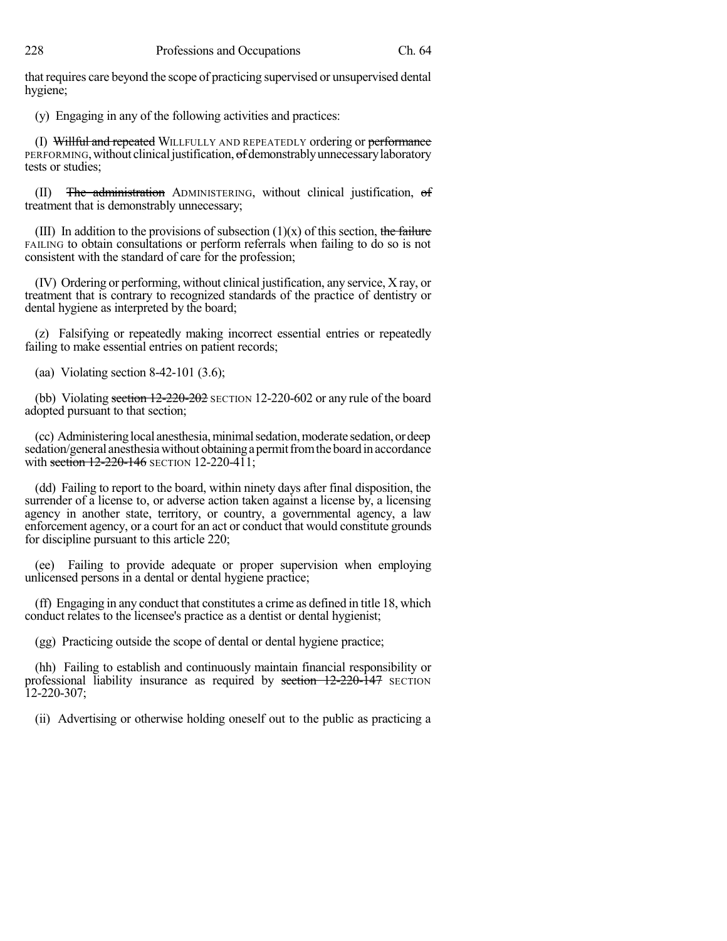that requires care beyond the scope of practicing supervised or unsupervised dental hygiene;

(y) Engaging in any of the following activities and practices:

(I) Willful and repeated WILLFULLY AND REPEATEDLY ordering or performance PERFORMING, without clinical justification, of demonstrably unnecessary laboratory tests or studies;

(II) The administration ADMINISTERING, without clinical justification, of treatment that is demonstrably unnecessary;

(III) In addition to the provisions of subsection  $(1)(x)$  of this section, the failure FAILING to obtain consultations or perform referrals when failing to do so is not consistent with the standard of care for the profession;

(IV) Ordering or performing, without clinical justification, any service, X ray, or treatment that is contrary to recognized standards of the practice of dentistry or dental hygiene as interpreted by the board;

(z) Falsifying or repeatedly making incorrect essential entries or repeatedly failing to make essential entries on patient records;

(aa) Violating section 8-42-101 (3.6);

(bb) Violating section  $12-220-202$  SECTION 12-220-602 or any rule of the board adopted pursuant to that section;

(cc) Administering local anesthesia, minimal sedation, moderate sedation, or deep sedation/general anesthesia without obtaining a permit from the board in accordance with section  $12 - 220 - 146$  SECTION 12-220-411;

(dd) Failing to report to the board, within ninety days after final disposition, the surrender of a license to, or adverse action taken against a license by, a licensing agency in another state, territory, or country, a governmental agency, a law enforcement agency, or a court for an act or conduct that would constitute grounds for discipline pursuant to this article 220;

(ee) Failing to provide adequate or proper supervision when employing unlicensed persons in a dental or dental hygiene practice;

(ff) Engaging in any conduct that constitutes a crime as defined in title 18, which conduct relates to the licensee's practice as a dentist or dental hygienist;

(gg) Practicing outside the scope of dental or dental hygiene practice;

(hh) Failing to establish and continuously maintain financial responsibility or professional liability insurance as required by section  $12-220-147$  SECTION 12-220-307;

(ii) Advertising or otherwise holding oneself out to the public as practicing a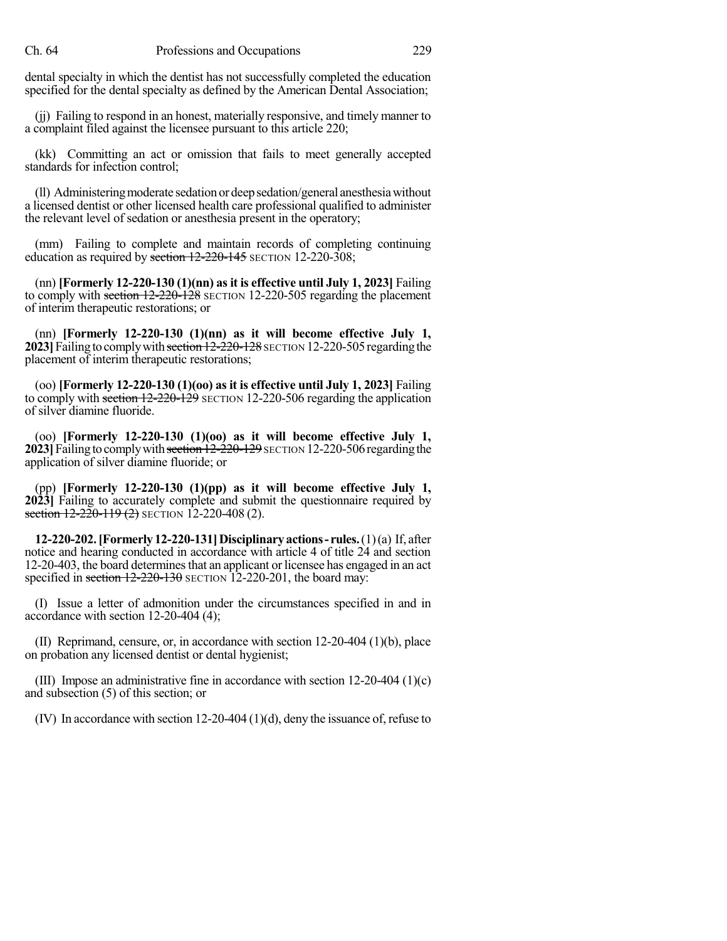dental specialty in which the dentist has not successfully completed the education specified for the dental specialty as defined by the American Dental Association;

(jj) Failing to respond in an honest, materially responsive, and timely manner to a complaint filed against the licensee pursuant to this article 220;

(kk) Committing an act or omission that fails to meet generally accepted standards for infection control;

(ll) Administering moderate sedation or deep sedation/general anesthesia without a licensed dentist or other licensed health care professional qualified to administer the relevant level of sedation or anesthesia present in the operatory;

(mm) Failing to complete and maintain records of completing continuing education as required by section 12-220-145 SECTION 12-220-308;

(nn) **[Formerly 12-220-130 (1)(nn) asit is effective until July 1, 2023]** Failing to comply with section 12-220-128 SECTION 12-220-505 regarding the placement of interim therapeutic restorations; or

(nn) **[Formerly 12-220-130 (1)(nn) as it will become effective July 1, 2023** Failing to comply with section 12-220-128 SECTION 12-220-505 regarding the placement of interim therapeutic restorations;

(oo) **[Formerly 12-220-130 (1)(oo) as it is effective until July 1, 2023]** Failing to comply with section 12-220-129 SECTION 12-220-506 regarding the application of silver diamine fluoride.

(oo) **[Formerly 12-220-130 (1)(oo) as it will become effective July 1, 2023**] Failing to comply with section 12-220-129 SECTION 12-220-506 regarding the application of silver diamine fluoride; or

(pp) **[Formerly 12-220-130 (1)(pp) as it will become effective July 1, 2023]** Failing to accurately complete and submit the questionnaire required by section  $12-220-119(2)$  SECTION 12-220-408 (2).

**12-220-202.[Formerly12-220-131]Disciplinaryactions- rules.**(1)(a) If, after notice and hearing conducted in accordance with article 4 of title 24 and section 12-20-403, the board determines that an applicant or licensee has engaged in an act specified in section 12-220-130 SECTION 12-220-201, the board may:

(I) Issue a letter of admonition under the circumstances specified in and in accordance with section 12-20-404 (4);

(II) Reprimand, censure, or, in accordance with section 12-20-404 (1)(b), place on probation any licensed dentist or dental hygienist;

(III) Impose an administrative fine in accordance with section 12-20-404 (1)(c) and subsection (5) of this section; or

(IV) In accordance with section 12-20-404 (1)(d), deny the issuance of, refuse to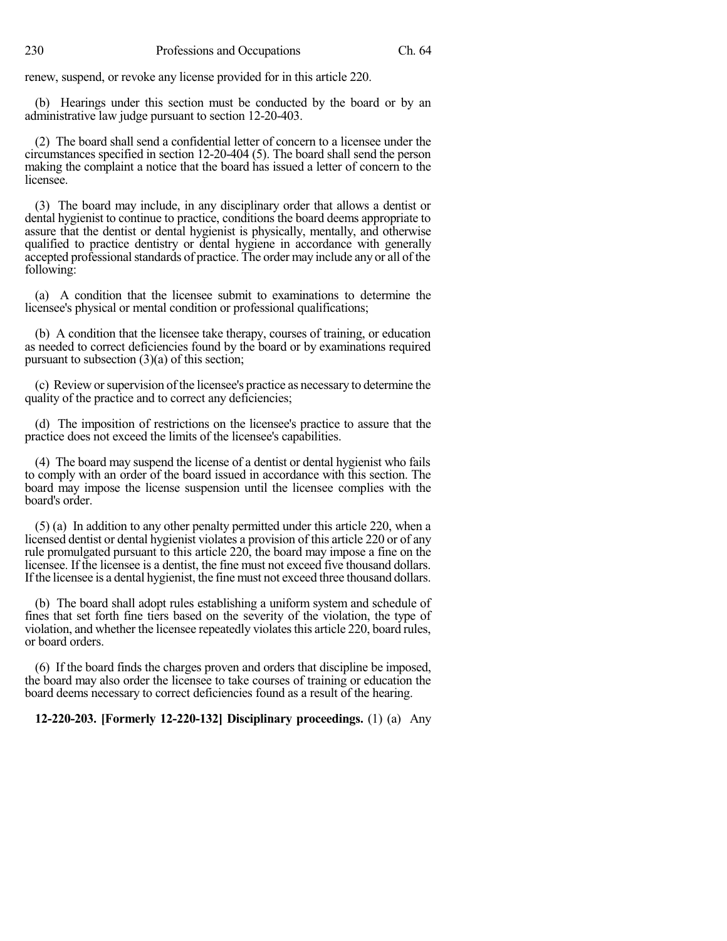renew, suspend, or revoke any license provided for in this article 220.

(b) Hearings under this section must be conducted by the board or by an administrative law judge pursuant to section 12-20-403.

(2) The board shall send a confidential letter of concern to a licensee under the circumstances specified in section 12-20-404 (5). The board shall send the person making the complaint a notice that the board has issued a letter of concern to the licensee.

(3) The board may include, in any disciplinary order that allows a dentist or dental hygienist to continue to practice, conditions the board deems appropriate to assure that the dentist or dental hygienist is physically, mentally, and otherwise qualified to practice dentistry or dental hygiene in accordance with generally accepted professional standards of practice. The order may include any or all of the following:

(a) A condition that the licensee submit to examinations to determine the licensee's physical or mental condition or professional qualifications;

(b) A condition that the licensee take therapy, courses of training, or education as needed to correct deficiencies found by the board or by examinations required pursuant to subsection (3)(a) of this section;

(c) Review orsupervision ofthe licensee's practice as necessary to determine the quality of the practice and to correct any deficiencies;

(d) The imposition of restrictions on the licensee's practice to assure that the practice does not exceed the limits of the licensee's capabilities.

(4) The board may suspend the license of a dentist or dental hygienist who fails to comply with an order of the board issued in accordance with this section. The board may impose the license suspension until the licensee complies with the board's order.

(5) (a) In addition to any other penalty permitted under this article 220, when a licensed dentist or dental hygienist violates a provision of this article 220 or of any rule promulgated pursuant to this article 220, the board may impose a fine on the licensee. If the licensee is a dentist, the fine must not exceed five thousand dollars. If the licensee is a dental hygienist, the fine must not exceed three thousand dollars.

(b) The board shall adopt rules establishing a uniform system and schedule of fines that set forth fine tiers based on the severity of the violation, the type of violation, and whether the licensee repeatedly violates this article 220, board rules, or board orders.

(6) If the board finds the charges proven and orders that discipline be imposed, the board may also order the licensee to take courses of training or education the board deems necessary to correct deficiencies found as a result of the hearing.

**12-220-203. [Formerly 12-220-132] Disciplinary proceedings.** (1) (a) Any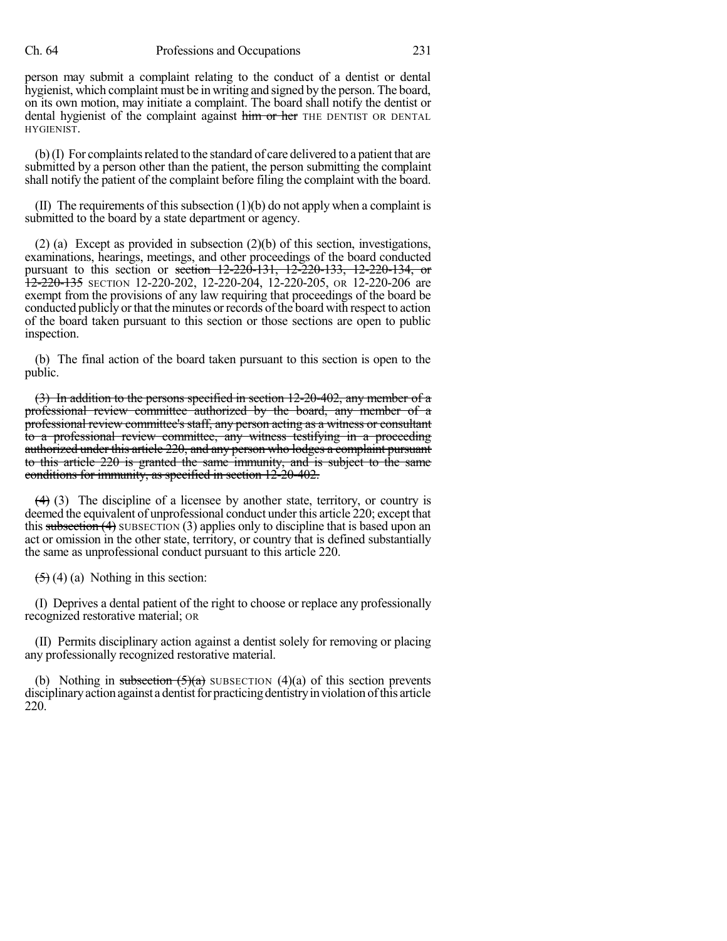#### Ch. 64 Professions and Occupations 231

person may submit a complaint relating to the conduct of a dentist or dental hygienist, which complaint must be in writing and signed by the person. The board, on its own motion, may initiate a complaint. The board shall notify the dentist or dental hygienist of the complaint against him or her THE DENTIST OR DENTAL HYGIENIST.

 $(b)$  (I) For complaints related to the standard of care delivered to a patient that are submitted by a person other than the patient, the person submitting the complaint shall notify the patient of the complaint before filing the complaint with the board.

(II) The requirements of this subsection  $(1)(b)$  do not apply when a complaint is submitted to the board by a state department or agency.

(2) (a) Except as provided in subsection (2)(b) of this section, investigations, examinations, hearings, meetings, and other proceedings of the board conducted pursuant to this section or <del>section 12-220-131, 12-220-133, 12-220-134, or</del> 12-220-135 SECTION 12-220-202, 12-220-204, 12-220-205, OR 12-220-206 are exempt from the provisions of any law requiring that proceedings of the board be conducted publicly or that the minutes or records of the board with respect to action of the board taken pursuant to this section or those sections are open to public inspection.

(b) The final action of the board taken pursuant to this section is open to the public.

(3) In addition to the persons specified in section 12-20-402, any member of a professional review committee authorized by the board, any member of a professional review committee's staff, any person acting as a witness or consultant to a professional review committee, any witness testifying in a proceeding authorized under this article 220, and any person who lodges a complaint pursuant to this article 220 is granted the same immunity, and is subject to the same conditions for immunity, as specified in section 12-20-402.

 $(4)$  (3) The discipline of a licensee by another state, territory, or country is deemed the equivalent of unprofessional conduct under this article 220; except that this subsection  $(4)$  SUBSECTION  $(3)$  applies only to discipline that is based upon an act or omission in the other state, territory, or country that is defined substantially the same as unprofessional conduct pursuant to this article 220.

 $(5)$  (4) (a) Nothing in this section:

(I) Deprives a dental patient of the right to choose or replace any professionally recognized restorative material; OR

(II) Permits disciplinary action against a dentist solely for removing or placing any professionally recognized restorative material.

(b) Nothing in subsection  $(5)(a)$  SUBSECTION  $(4)(a)$  of this section prevents disciplinaryactionagainst adentistfor practicingdentistryinviolation ofthis article 220.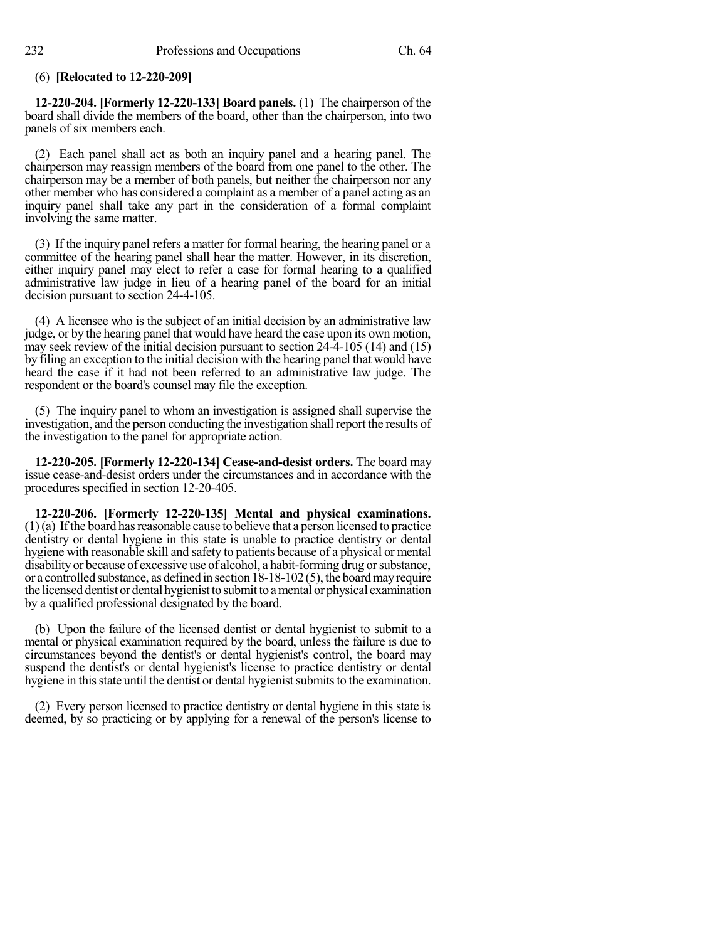### (6) **[Relocated to 12-220-209]**

**12-220-204. [Formerly 12-220-133] Board panels.** (1) The chairperson of the board shall divide the members of the board, other than the chairperson, into two panels of six members each.

(2) Each panel shall act as both an inquiry panel and a hearing panel. The chairperson may reassign members of the board from one panel to the other. The chairperson may be a member of both panels, but neither the chairperson nor any other member who has considered a complaint as a member of a panel acting as an inquiry panel shall take any part in the consideration of a formal complaint involving the same matter.

(3) If the inquiry panel refers a matter for formal hearing, the hearing panel or a committee of the hearing panel shall hear the matter. However, in its discretion, either inquiry panel may elect to refer a case for formal hearing to a qualified administrative law judge in lieu of a hearing panel of the board for an initial decision pursuant to section 24-4-105.

(4) A licensee who is the subject of an initial decision by an administrative law judge, or by the hearing panel that would have heard the case upon its own motion, may seek review of the initial decision pursuant to section 24-4-105 (14) and (15) by filing an exception to the initial decision with the hearing panel that would have heard the case if it had not been referred to an administrative law judge. The respondent or the board's counsel may file the exception.

(5) The inquiry panel to whom an investigation is assigned shall supervise the investigation, and the person conducting the investigation shall report the results of the investigation to the panel for appropriate action.

**12-220-205. [Formerly 12-220-134] Cease-and-desist orders.** The board may issue cease-and-desist orders under the circumstances and in accordance with the procedures specified in section 12-20-405.

**12-220-206. [Formerly 12-220-135] Mental and physical examinations.**  $(1)(a)$  If the board has reasonable cause to believe that a person licensed to practice dentistry or dental hygiene in this state is unable to practice dentistry or dental hygiene with reasonable skill and safety to patients because of a physical or mental disability or because of excessive use of alcohol, a habit-forming drug orsubstance, or a controlled substance, as defined in section 18-18-102 (5), the boardmayrequire the licensed dentist or dental hygienist to submit to a mental or physical examination by a qualified professional designated by the board.

(b) Upon the failure of the licensed dentist or dental hygienist to submit to a mental or physical examination required by the board, unless the failure is due to circumstances beyond the dentist's or dental hygienist's control, the board may suspend the dentist's or dental hygienist's license to practice dentistry or dental hygiene in this state until the dentist or dental hygienist submits to the examination.

(2) Every person licensed to practice dentistry or dental hygiene in this state is deemed, by so practicing or by applying for a renewal of the person's license to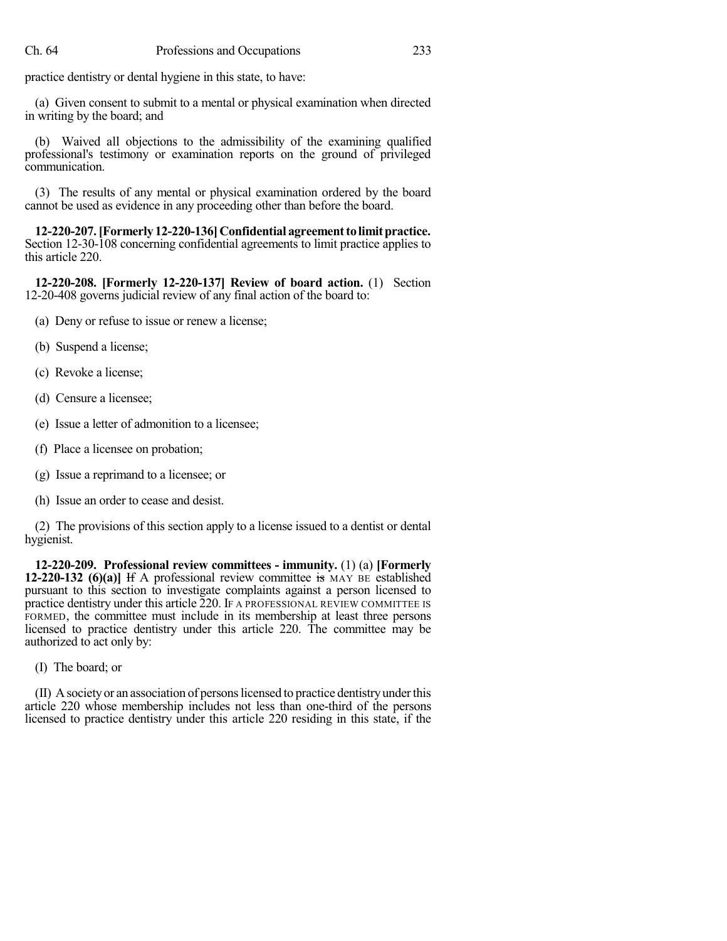practice dentistry or dental hygiene in this state, to have:

(a) Given consent to submit to a mental or physical examination when directed in writing by the board; and

(b) Waived all objections to the admissibility of the examining qualified professional's testimony or examination reports on the ground of privileged communication.

(3) The results of any mental or physical examination ordered by the board cannot be used as evidence in any proceeding other than before the board.

**12-220-207.[Formerly 12-220-136]Confidential agreementtolimitpractice.** Section 12-30-108 concerning confidential agreements to limit practice applies to this article 220.

**12-220-208. [Formerly 12-220-137] Review of board action.** (1) Section 12-20-408 governs judicial review of any final action of the board to:

- (a) Deny or refuse to issue or renew a license;
- (b) Suspend a license;
- (c) Revoke a license;
- (d) Censure a licensee;
- (e) Issue a letter of admonition to a licensee;
- (f) Place a licensee on probation;
- (g) Issue a reprimand to a licensee; or
- (h) Issue an order to cease and desist.

(2) The provisions of this section apply to a license issued to a dentist or dental hygienist.

**12-220-209. Professional review committees - immunity.** (1) (a) **[Formerly 12-220-132 (6)(a)]** If A professional review committee is MAY BE established pursuant to this section to investigate complaints against a person licensed to practice dentistry under this article 220. IF A PROFESSIONAL REVIEW COMMITTEE IS FORMED, the committee must include in its membership at least three persons licensed to practice dentistry under this article 220. The committee may be authorized to act only by:

(I) The board; or

(II) Asocietyor an association of personslicensed to practice dentistryunderthis article 220 whose membership includes not less than one-third of the persons licensed to practice dentistry under this article 220 residing in this state, if the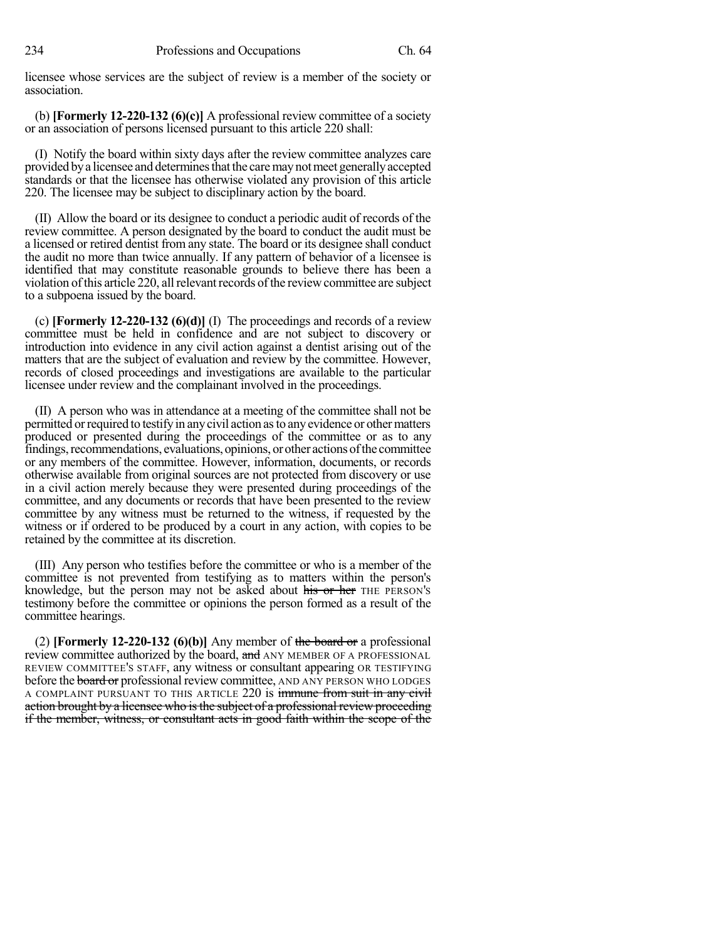licensee whose services are the subject of review is a member of the society or association.

(b) **[Formerly 12-220-132 (6)(c)]** A professional review committee of a society or an association of persons licensed pursuant to this article 220 shall:

(I) Notify the board within sixty days after the review committee analyzes care provided bya licensee and determinesthatthe caremaynotmeet generallyaccepted standards or that the licensee has otherwise violated any provision of this article 220. The licensee may be subject to disciplinary action by the board.

(II) Allow the board or its designee to conduct a periodic audit of records of the review committee. A person designated by the board to conduct the audit must be a licensed or retired dentist from any state. The board or its designee shall conduct the audit no more than twice annually. If any pattern of behavior of a licensee is identified that may constitute reasonable grounds to believe there has been a violation of this article 220, all relevant records of the review committee are subject to a subpoena issued by the board.

(c) **[Formerly 12-220-132 (6)(d)]** (I) The proceedings and records of a review committee must be held in confidence and are not subject to discovery or introduction into evidence in any civil action against a dentist arising out of the matters that are the subject of evaluation and review by the committee. However, records of closed proceedings and investigations are available to the particular licensee under review and the complainant involved in the proceedings.

(II) A person who was in attendance at a meeting of the committee shall not be permitted or required to testify in any civil action as to any evidence or other matters produced or presented during the proceedings of the committee or as to any findings, recommendations, evaluations, opinions, or other actions of the committee or any members of the committee. However, information, documents, or records otherwise available from original sources are not protected from discovery or use in a civil action merely because they were presented during proceedings of the committee, and any documents or records that have been presented to the review committee by any witness must be returned to the witness, if requested by the witness or if ordered to be produced by a court in any action, with copies to be retained by the committee at its discretion.

(III) Any person who testifies before the committee or who is a member of the committee is not prevented from testifying as to matters within the person's knowledge, but the person may not be asked about his or her THE PERSON's testimony before the committee or opinions the person formed as a result of the committee hearings.

(2) **[Formerly 12-220-132 (6)(b)]** Any member of the board or a professional review committee authorized by the board, and ANY MEMBER OF A PROFESSIONAL REVIEW COMMITTEE'S STAFF, any witness or consultant appearing OR TESTIFYING before the **board or** professional review committee, AND ANY PERSON WHO LODGES A COMPLAINT PURSUANT TO THIS ARTICLE 220 is immune from suit in any civil action brought by a licensee who is the subject of a professional review proceeding if the member, witness, or consultant acts in good faith within the scope of the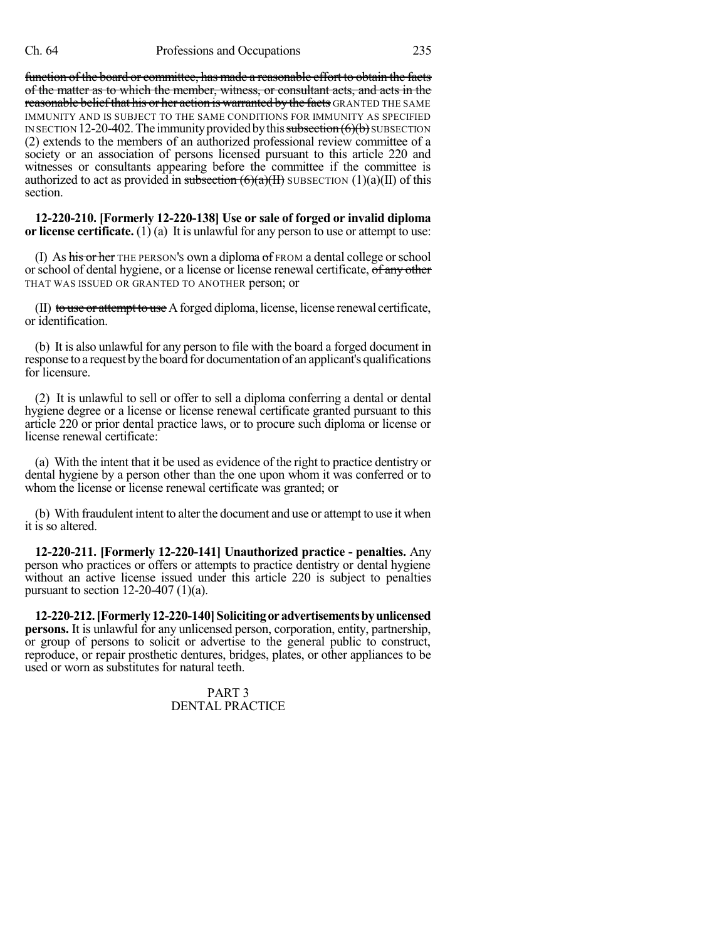#### Ch. 64 Professions and Occupations 235

function of the board or committee, has made a reasonable effort to obtain the facts of the matter as to which the member, witness, or consultant acts, and acts in the reasonable belief that his or her action is warranted by the facts GRANTED THE SAME IMMUNITY AND IS SUBJECT TO THE SAME CONDITIONS FOR IMMUNITY AS SPECIFIED IN SECTION 12-20-402. The immunity provided by this subsection  $(6)(b)$  SUBSECTION (2) extends to the members of an authorized professional review committee of a society or an association of persons licensed pursuant to this article 220 and witnesses or consultants appearing before the committee if the committee is authorized to act as provided in subsection  $(6)(a)(H)$  SUBSECTION  $(1)(a)(H)$  of this section.

**12-220-210. [Formerly 12-220-138] Use or sale of forged or invalid diploma or license certificate.** (1) (a) It is unlawful for any person to use or attempt to use:

(I) As his or her THE PERSON'S own a diploma of FROM a dental college orschool or school of dental hygiene, or a license or license renewal certificate, of any other THAT WAS ISSUED OR GRANTED TO ANOTHER person; or

(II) to use or attempt to use Aforged diploma, license, license renewal certificate, or identification.

(b) It is also unlawful for any person to file with the board a forged document in response to a request bythe board for documentation of an applicant's qualifications for licensure.

(2) It is unlawful to sell or offer to sell a diploma conferring a dental or dental hygiene degree or a license or license renewal certificate granted pursuant to this article 220 or prior dental practice laws, or to procure such diploma or license or license renewal certificate:

(a) With the intent that it be used as evidence of the right to practice dentistry or dental hygiene by a person other than the one upon whom it was conferred or to whom the license or license renewal certificate was granted; or

(b) With fraudulent intent to alter the document and use or attempt to use it when it is so altered.

**12-220-211. [Formerly 12-220-141] Unauthorized practice - penalties.** Any person who practices or offers or attempts to practice dentistry or dental hygiene without an active license issued under this article 220 is subject to penalties pursuant to section  $12-20-407$  (1)(a).

**12-220-212.[Formerly12-220-140]Solicitingoradvertisementsbyunlicensed persons.** It is unlawful for any unlicensed person, corporation, entity, partnership, or group of persons to solicit or advertise to the general public to construct, reproduce, or repair prosthetic dentures, bridges, plates, or other appliances to be used or worn as substitutes for natural teeth.

> PART 3 DENTAL PRACTICE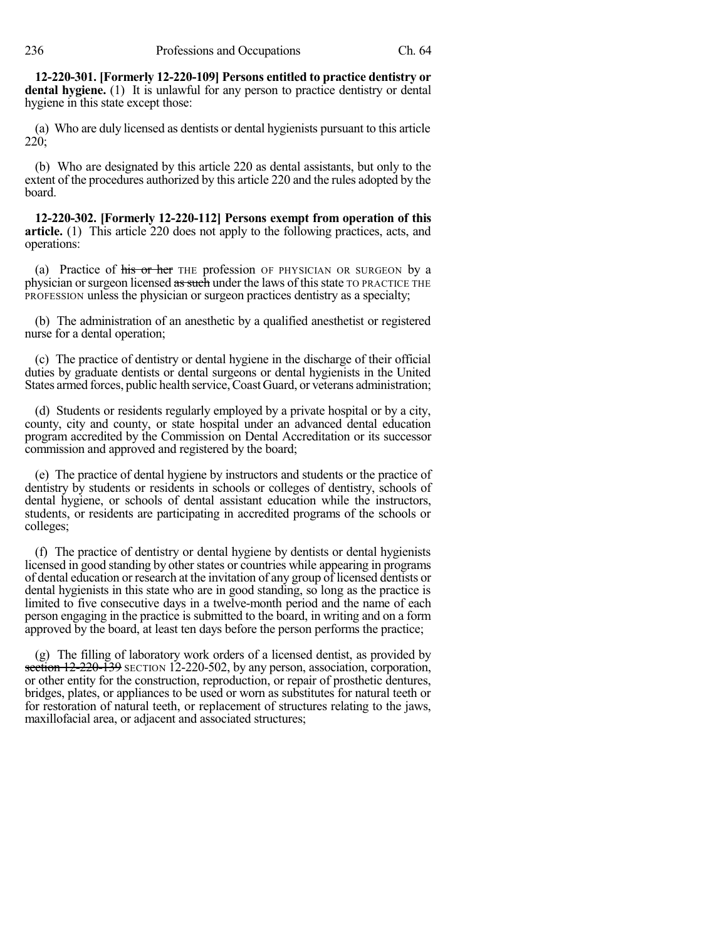**12-220-301. [Formerly 12-220-109] Persons entitled to practice dentistry or dental hygiene.** (1) It is unlawful for any person to practice dentistry or dental hygiene in this state except those:

(a) Who are duly licensed as dentists or dental hygienists pursuant to this article 220;

(b) Who are designated by this article 220 as dental assistants, but only to the extent of the procedures authorized by this article 220 and the rules adopted by the board.

**12-220-302. [Formerly 12-220-112] Persons exempt from operation of this article.** (1) This article 220 does not apply to the following practices, acts, and operations:

(a) Practice of his or her THE profession OF PHYSICIAN OR SURGEON by a physician or surgeon licensed as such under the laws of this state TO PRACTICE THE PROFESSION unless the physician or surgeon practices dentistry as a specialty;

(b) The administration of an anesthetic by a qualified anesthetist or registered nurse for a dental operation;

(c) The practice of dentistry or dental hygiene in the discharge of their official duties by graduate dentists or dental surgeons or dental hygienists in the United States armed forces, public health service,Coast Guard, or veterans administration;

(d) Students or residents regularly employed by a private hospital or by a city, county, city and county, or state hospital under an advanced dental education program accredited by the Commission on Dental Accreditation or its successor commission and approved and registered by the board;

(e) The practice of dental hygiene by instructors and students or the practice of dentistry by students or residents in schools or colleges of dentistry, schools of dental hygiene, or schools of dental assistant education while the instructors, students, or residents are participating in accredited programs of the schools or colleges;

(f) The practice of dentistry or dental hygiene by dentists or dental hygienists licensed in good standing by other states or countries while appearing in programs of dental education or research at the invitation of any group of licensed dentists or dental hygienists in this state who are in good standing, so long as the practice is limited to five consecutive days in a twelve-month period and the name of each person engaging in the practice is submitted to the board, in writing and on a form approved by the board, at least ten days before the person performs the practice;

(g) The filling of laboratory work orders of a licensed dentist, as provided by section 12-220-139 SECTION 12-220-502, by any person, association, corporation, or other entity for the construction, reproduction, or repair of prosthetic dentures, bridges, plates, or appliances to be used or worn as substitutes for natural teeth or for restoration of natural teeth, or replacement of structures relating to the jaws, maxillofacial area, or adjacent and associated structures;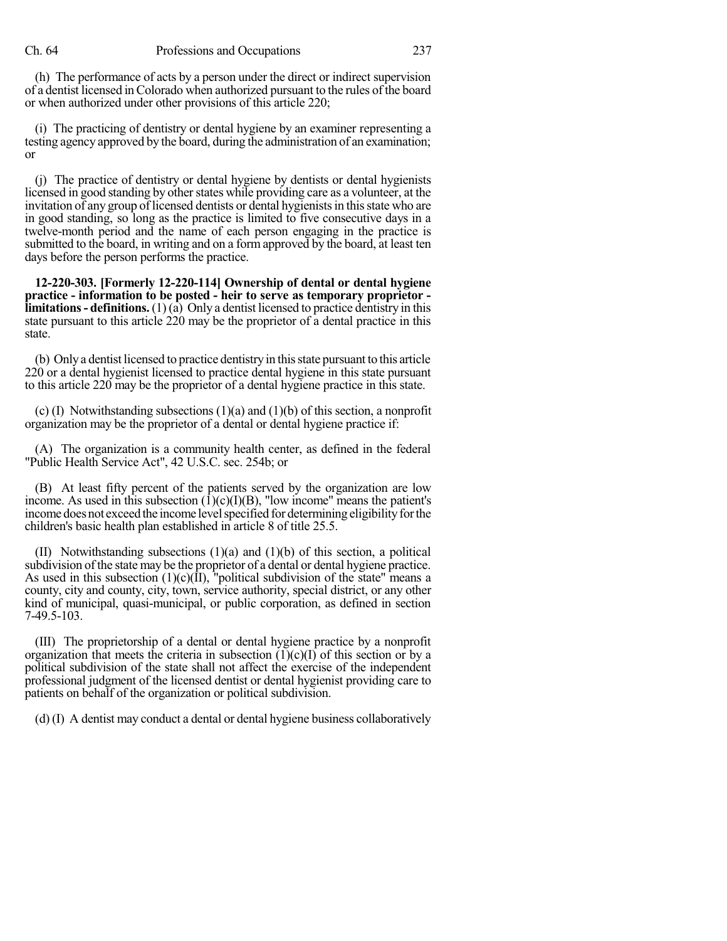(h) The performance of acts by a person under the direct or indirect supervision of a dentist licensed inColorado when authorized pursuant to the rules of the board or when authorized under other provisions of this article 220;

(i) The practicing of dentistry or dental hygiene by an examiner representing a testing agency approved by the board, during the administration of an examination; or

(j) The practice of dentistry or dental hygiene by dentists or dental hygienists licensed in good standing by other states while providing care as a volunteer, at the invitation of any group of licensed dentists or dental hygienists in this state who are in good standing, so long as the practice is limited to five consecutive days in a twelve-month period and the name of each person engaging in the practice is submitted to the board, in writing and on a form approved by the board, at least ten days before the person performs the practice.

**12-220-303. [Formerly 12-220-114] Ownership of dental or dental hygiene practice - information to be posted - heir to serve as temporary proprietor limitations- definitions.** (1) (a) Only a dentist licensed to practice dentistry in this state pursuant to this article 220 may be the proprietor of a dental practice in this state.

(b) Onlya dentist licensed to practice dentistry in thisstate pursuant to this article 220 or a dental hygienist licensed to practice dental hygiene in this state pursuant to this article 220 may be the proprietor of a dental hygiene practice in this state.

(c) (I) Notwithstanding subsections (1)(a) and (1)(b) of this section, a nonprofit organization may be the proprietor of a dental or dental hygiene practice if:

(A) The organization is a community health center, as defined in the federal "Public Health Service Act", 42 U.S.C. sec. 254b; or

(B) At least fifty percent of the patients served by the organization are low income. As used in this subsection  $(1)(c)(I)(B)$ , "low income" means the patient's income does not exceed the income level specified for determining eligibility for the children's basic health plan established in article 8 of title 25.5.

(II) Notwithstanding subsections (1)(a) and (1)(b) of this section, a political subdivision of the state may be the proprietor of a dental or dental hygiene practice. As used in this subsection  $(1)(c)(II)$ , "political subdivision of the state" means a county, city and county, city, town, service authority, special district, or any other kind of municipal, quasi-municipal, or public corporation, as defined in section 7-49.5-103.

(III) The proprietorship of a dental or dental hygiene practice by a nonprofit organization that meets the criteria in subsection  $(1)(c)(I)$  of this section or by a political subdivision of the state shall not affect the exercise of the independent professional judgment of the licensed dentist or dental hygienist providing care to patients on behalf of the organization or political subdivision.

(d) (I) A dentist may conduct a dental or dental hygiene business collaboratively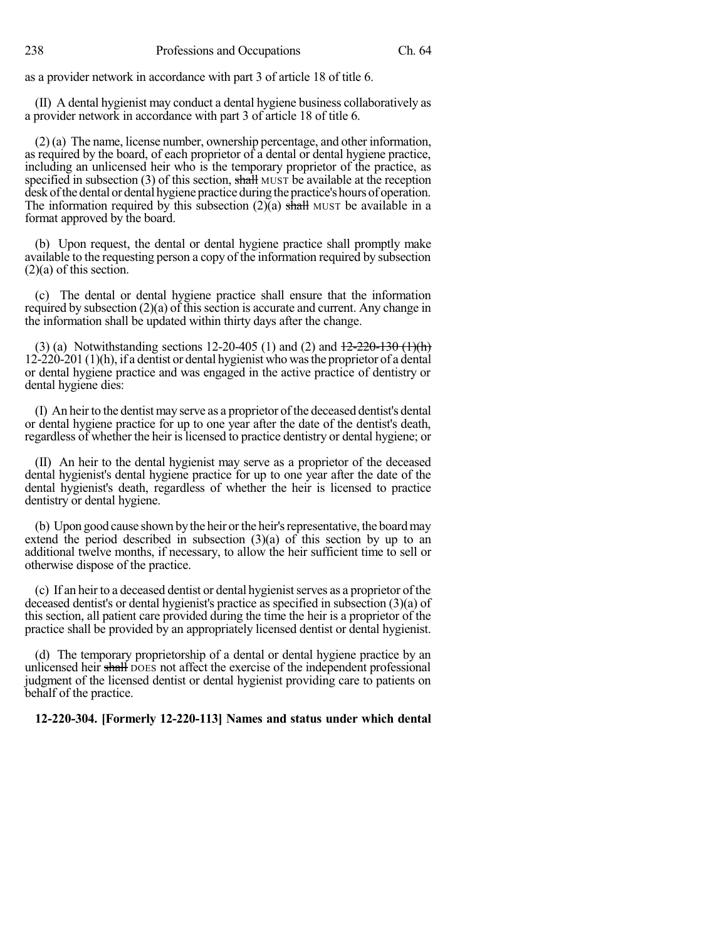as a provider network in accordance with part 3 of article 18 of title 6.

(II) A dental hygienist may conduct a dental hygiene business collaboratively as a provider network in accordance with part 3 of article 18 of title 6.

(2) (a) The name, license number, ownership percentage, and other information, as required by the board, of each proprietor of a dental or dental hygiene practice, including an unlicensed heir who is the temporary proprietor of the practice, as specified in subsection  $(3)$  of this section, shall MUST be available at the reception desk of the dental or dental hygiene practice during the practice's hours of operation. The information required by this subsection  $(2)$ (a) shall MUST be available in a format approved by the board.

(b) Upon request, the dental or dental hygiene practice shall promptly make available to the requesting person a copy of the information required by subsection (2)(a) of this section.

(c) The dental or dental hygiene practice shall ensure that the information required by subsection  $(2)(a)$  of this section is accurate and current. Any change in the information shall be updated within thirty days after the change.

(3) (a) Notwithstanding sections 12-20-405 (1) and (2) and  $\frac{12-220-130 (1)(h)}{2}$ 12-220-201 (1)(h), if a dentist or dental hygienist who wasthe proprietor of a dental or dental hygiene practice and was engaged in the active practice of dentistry or dental hygiene dies:

(I) An heir to the dentist may serve as a proprietor of the deceased dentist's dental or dental hygiene practice for up to one year after the date of the dentist's death, regardless of whether the heir islicensed to practice dentistry or dental hygiene; or

(II) An heir to the dental hygienist may serve as a proprietor of the deceased dental hygienist's dental hygiene practice for up to one year after the date of the dental hygienist's death, regardless of whether the heir is licensed to practice dentistry or dental hygiene.

(b) Upon good cause shown bythe heir orthe heir'srepresentative, the boardmay extend the period described in subsection (3)(a) of this section by up to an additional twelve months, if necessary, to allow the heir sufficient time to sell or otherwise dispose of the practice.

(c) If an heir to a deceased dentist or dental hygienist serves as a proprietor of the deceased dentist's or dental hygienist's practice as specified in subsection (3)(a) of this section, all patient care provided during the time the heir is a proprietor of the practice shall be provided by an appropriately licensed dentist or dental hygienist.

(d) The temporary proprietorship of a dental or dental hygiene practice by an unlicensed heir shall poes not affect the exercise of the independent professional judgment of the licensed dentist or dental hygienist providing care to patients on behalf of the practice.

## **12-220-304. [Formerly 12-220-113] Names and status under which dental**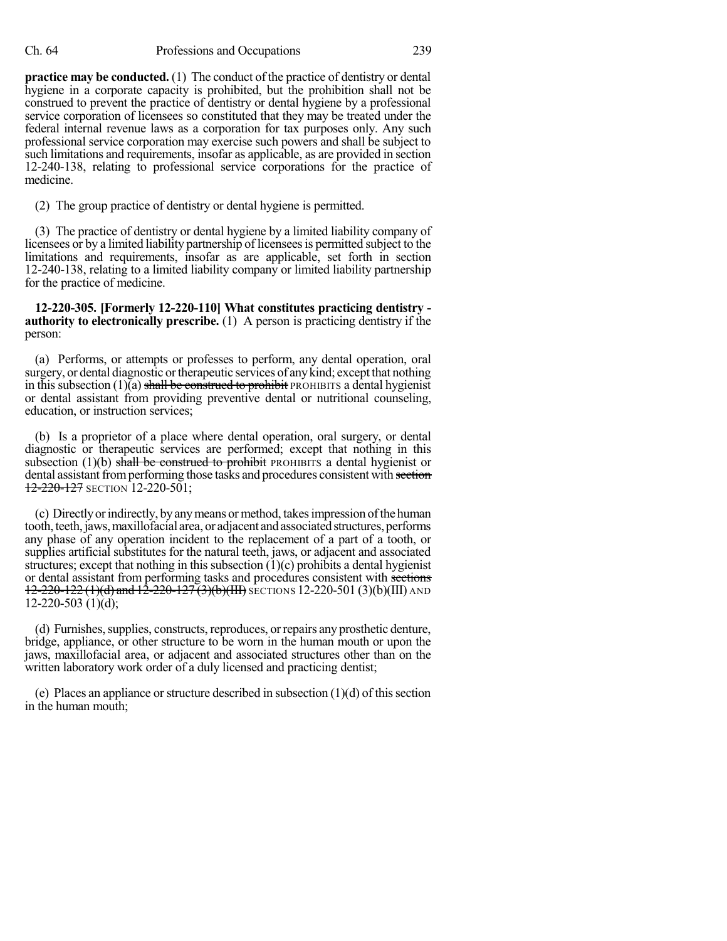**practice may be conducted.** (1) The conduct of the practice of dentistry or dental hygiene in a corporate capacity is prohibited, but the prohibition shall not be construed to prevent the practice of dentistry or dental hygiene by a professional service corporation of licensees so constituted that they may be treated under the federal internal revenue laws as a corporation for tax purposes only. Any such professional service corporation may exercise such powers and shall be subject to such limitations and requirements, insofar as applicable, as are provided in section 12-240-138, relating to professional service corporations for the practice of medicine.

(2) The group practice of dentistry or dental hygiene is permitted.

(3) The practice of dentistry or dental hygiene by a limited liability company of licensees or by a limited liability partnership of licenseesis permitted subject to the limitations and requirements, insofar as are applicable, set forth in section 12-240-138, relating to a limited liability company or limited liability partnership for the practice of medicine.

**12-220-305. [Formerly 12-220-110] What constitutes practicing dentistry authority to electronically prescribe.** (1) A person is practicing dentistry if the person:

(a) Performs, or attempts or professes to perform, any dental operation, oral surgery, or dental diagnostic or therapeutic services of any kind; except that nothing in this subsection (1)(a) shall be construed to prohibit PROHIBITS a dental hygienist or dental assistant from providing preventive dental or nutritional counseling, education, or instruction services;

(b) Is a proprietor of a place where dental operation, oral surgery, or dental diagnostic or therapeutic services are performed; except that nothing in this subsection  $(1)(b)$  shall be construed to prohibit PROHIBITS a dental hygienist or dental assistant from performing those tasks and procedures consistent with section 12-220-127 SECTION 12-220-501;

(c) Directlyorindirectly, byanymeans ormethod, takesimpression ofthe human tooth, teeth, jaws, maxillofacial area, or adjacent and associated structures, performs any phase of any operation incident to the replacement of a part of a tooth, or supplies artificial substitutes for the natural teeth, jaws, or adjacent and associated structures; except that nothing in this subsection  $(1)(c)$  prohibits a dental hygienist or dental assistant from performing tasks and procedures consistent with sections  $12-220-122$  (1)(d) and  $12-220-127$  (3)(b)(III) SECTIONS 12-220-501 (3)(b)(III) AND  $12-220-503$  (1)(d);

(d) Furnishes,supplies, constructs, reproduces, orrepairs any prosthetic denture, bridge, appliance, or other structure to be worn in the human mouth or upon the jaws, maxillofacial area, or adjacent and associated structures other than on the written laboratory work order of a duly licensed and practicing dentist;

(e) Places an appliance or structure described in subsection  $(1)(d)$  of this section in the human mouth;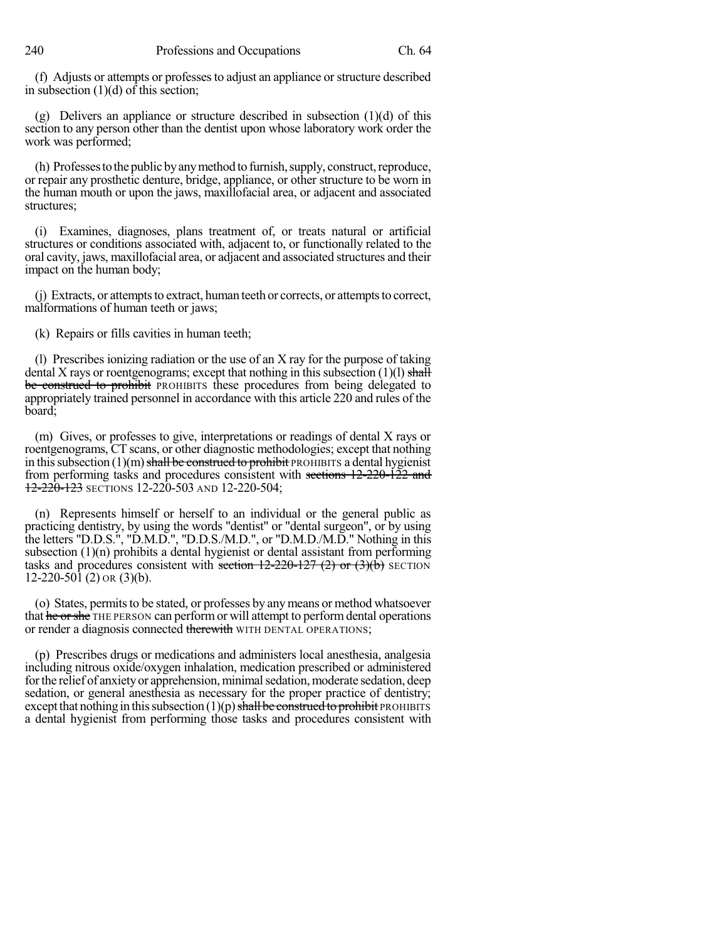(f) Adjusts or attempts or professesto adjust an appliance orstructure described in subsection (1)(d) of this section;

(g) Delivers an appliance or structure described in subsection (1)(d) of this section to any person other than the dentist upon whose laboratory work order the work was performed;

(h) Professes to the public by any method to furnish, supply, construct, reproduce, or repair any prosthetic denture, bridge, appliance, or other structure to be worn in the human mouth or upon the jaws, maxillofacial area, or adjacent and associated structures;

(i) Examines, diagnoses, plans treatment of, or treats natural or artificial structures or conditions associated with, adjacent to, or functionally related to the oral cavity, jaws, maxillofacial area, or adjacent and associated structures and their impact on the human body;

(j) Extracts, or attempts to extract, human teeth or corrects, or attempts to correct, malformations of human teeth or jaws;

(k) Repairs or fills cavities in human teeth;

(l) Prescribes ionizing radiation or the use of an X ray for the purpose of taking dental X rays or roentgenograms; except that nothing in this subsection  $(1)(l)$  shall be construed to prohibit PROHIBITS these procedures from being delegated to appropriately trained personnel in accordance with this article 220 and rules of the board;

(m) Gives, or professes to give, interpretations or readings of dental X rays or roentgenograms, CT scans, or other diagnostic methodologies; except that nothing in this subsection  $(1)(m)$  shall be construed to prohibit PROHIBITS a dental hygienist from performing tasks and procedures consistent with sections 12-220-122 and 12-220-123 SECTIONS 12-220-503 AND 12-220-504;

(n) Represents himself or herself to an individual or the general public as practicing dentistry, by using the words "dentist" or "dental surgeon", or by using the letters "D.D.S.", "D.M.D.", "D.D.S./M.D.", or "D.M.D./M.D." Nothing in this subsection (1)(n) prohibits a dental hygienist or dental assistant from performing tasks and procedures consistent with section  $12-220-127$  (2) or  $(3)(b)$  SECTION 12-220-501 (2) OR (3)(b).

(o) States, permits to be stated, or professes by any means or method whatsoever that he or she THE PERSON can perform or will attempt to perform dental operations or render a diagnosis connected therewith WITH DENTAL OPERATIONS;

(p) Prescribes drugs or medications and administers local anesthesia, analgesia including nitrous oxide/oxygen inhalation, medication prescribed or administered for the relief of anxiety or apprehension, minimal sedation, moderate sedation, deep sedation, or general anesthesia as necessary for the proper practice of dentistry; except that nothing in this subsection  $(1)(p)$  shall be construed to prohibit PROHIBITS a dental hygienist from performing those tasks and procedures consistent with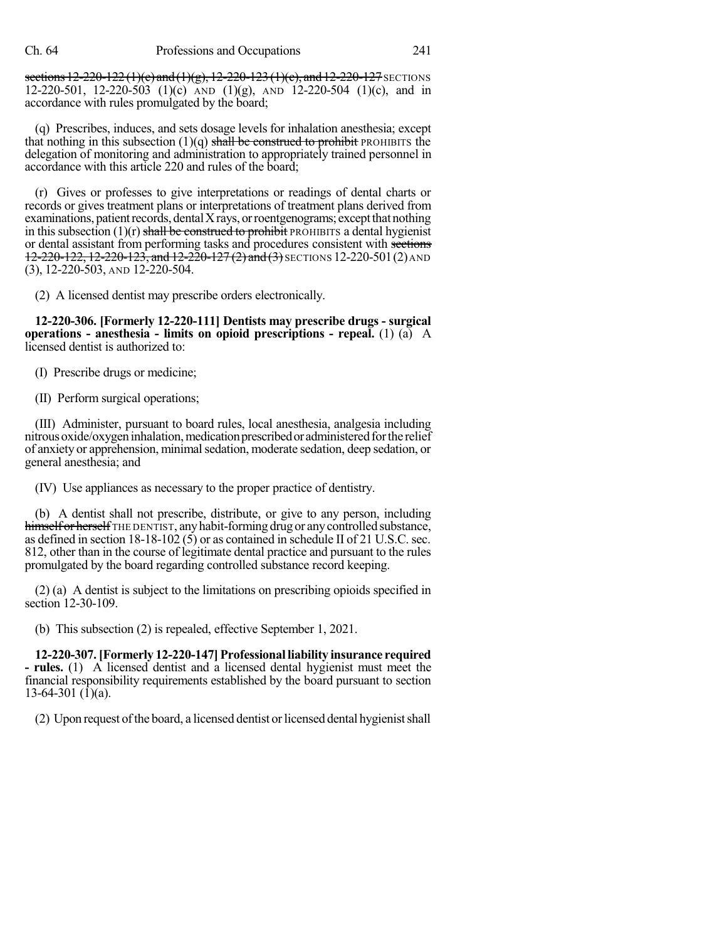sections 12-220-122(1)(e) and (1)(g), 12-220-123(1)(c), and 12-220-127 SECTIONS 12-220-501, 12-220-503 (1)(c) AND (1)(g), AND 12-220-504 (1)(c), and in accordance with rules promulgated by the board;

(q) Prescribes, induces, and sets dosage levels for inhalation anesthesia; except that nothing in this subsection  $(1)(q)$  shall be construed to prohibit PROHIBITS the delegation of monitoring and administration to appropriately trained personnel in accordance with this article 220 and rules of the board;

(r) Gives or professes to give interpretations or readings of dental charts or records or gives treatment plans or interpretations of treatment plans derived from  $examinations, patient records, dental X rays, or roentgenograms; except that nothing$ in this subsection  $(1)(r)$  shall be construed to prohibit PROHIBITS a dental hygienist or dental assistant from performing tasks and procedures consistent with sections 12-220-122, 12-220-123, and 12-220-127 (2) and (3) SECTIONS 12-220-501 (2) AND (3), 12-220-503, AND 12-220-504.

(2) A licensed dentist may prescribe orders electronically.

**12-220-306. [Formerly 12-220-111] Dentists may prescribe drugs - surgical operations - anesthesia - limits on opioid prescriptions - repeal.** (1) (a) A licensed dentist is authorized to:

(I) Prescribe drugs or medicine;

(II) Perform surgical operations;

(III) Administer, pursuant to board rules, local anesthesia, analgesia including nitrous oxide/oxygen inhalation, medication prescribed or administered for the relief of anxiety or apprehension, minimalsedation, moderate sedation, deep sedation, or general anesthesia; and

(IV) Use appliances as necessary to the proper practice of dentistry.

(b) A dentist shall not prescribe, distribute, or give to any person, including himself or herself THE DENTIST, any habit-forming drug or any controlled substance, as defined in section  $18-18-102(5)$  or as contained in schedule II of 21 U.S.C. sec. 812, other than in the course of legitimate dental practice and pursuant to the rules promulgated by the board regarding controlled substance record keeping.

(2) (a) A dentist is subject to the limitations on prescribing opioids specified in section 12-30-109.

(b) This subsection (2) is repealed, effective September 1, 2021.

**12-220-307.[Formerly 12-220-147]Professional liability insurance required - rules.** (1) A licensed dentist and a licensed dental hygienist must meet the financial responsibility requirements established by the board pursuant to section 13-64-301 (1)(a).

(2) Upon request of the board, a licensed dentist or licensed dental hygienist shall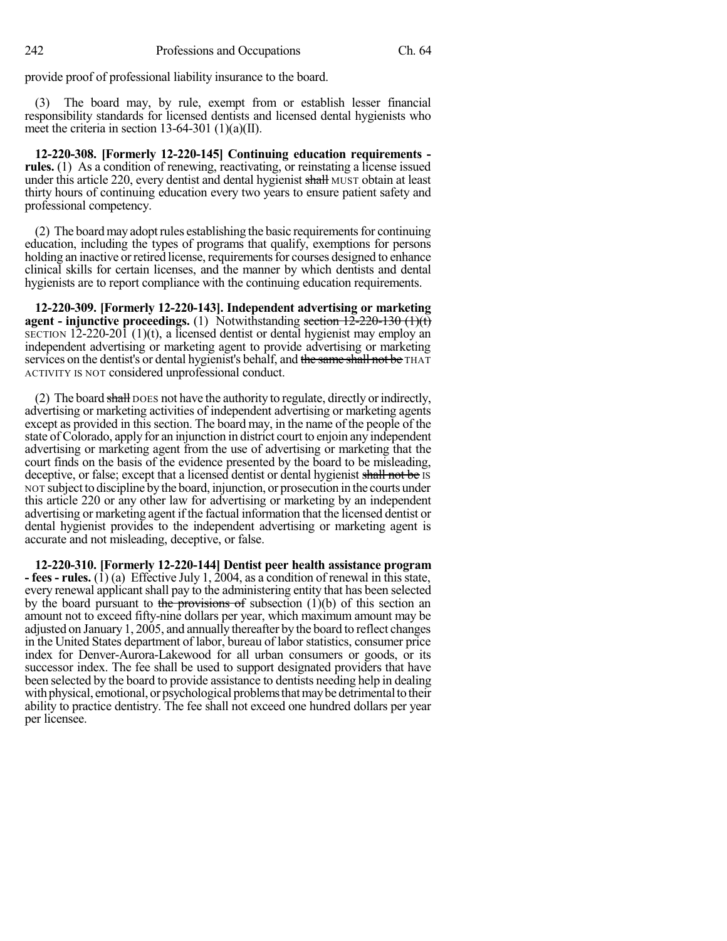provide proof of professional liability insurance to the board.

(3) The board may, by rule, exempt from or establish lesser financial responsibility standards for licensed dentists and licensed dental hygienists who meet the criteria in section 13-64-301 (1)(a)(II).

**12-220-308. [Formerly 12-220-145] Continuing education requirements rules.** (1) As a condition of renewing, reactivating, or reinstating a license issued under this article 220, every dentist and dental hygienist shall MUST obtain at least thirty hours of continuing education every two years to ensure patient safety and professional competency.

 $(2)$  The board may adopt rules establishing the basic requirements for continuing education, including the types of programs that qualify, exemptions for persons holding an inactive or retired license, requirements for courses designed to enhance clinical skills for certain licenses, and the manner by which dentists and dental hygienists are to report compliance with the continuing education requirements.

**12-220-309. [Formerly 12-220-143]. Independent advertising or marketing agent - injunctive** proceedings. (1) Notwithstanding section  $12\overline{-220-130(1)(t)}$ SECTION 12-220-201 (1)(t), a licensed dentist or dental hygienist may employ an independent advertising or marketing agent to provide advertising or marketing services on the dentist's or dental hygienist's behalf, and the same shall not be THAT ACTIVITY IS NOT considered unprofessional conduct.

(2) The board shall poes not have the authority to regulate, directly or indirectly, advertising or marketing activities of independent advertising or marketing agents except as provided in this section. The board may, in the name of the people of the state of Colorado, apply for an injunction in district court to enjoin any independent advertising or marketing agent from the use of advertising or marketing that the court finds on the basis of the evidence presented by the board to be misleading, deceptive, or false; except that a licensed dentist or dental hygienist shall not be IS NOT subject to discipline bythe board, injunction, or prosecution in the courts under this article 220 or any other law for advertising or marketing by an independent advertising or marketing agent if the factual information that the licensed dentist or dental hygienist provides to the independent advertising or marketing agent is accurate and not misleading, deceptive, or false.

**12-220-310. [Formerly 12-220-144] Dentist peer health assistance program - fees - rules.** (1) (a) Effective July 1, 2004, as a condition of renewal in this state, every renewal applicant shall pay to the administering entity that has been selected by the board pursuant to the provisions of subsection  $(1)(b)$  of this section an amount not to exceed fifty-nine dollars per year, which maximum amount may be adjusted on January 1, 2005, and annually thereafter by the board to reflect changes in the United States department of labor, bureau of labor statistics, consumer price index for Denver-Aurora-Lakewood for all urban consumers or goods, or its successor index. The fee shall be used to support designated providers that have been selected by the board to provide assistance to dentists needing help in dealing with physical, emotional, or psychological problems that may be detrimental to their ability to practice dentistry. The fee shall not exceed one hundred dollars per year per licensee.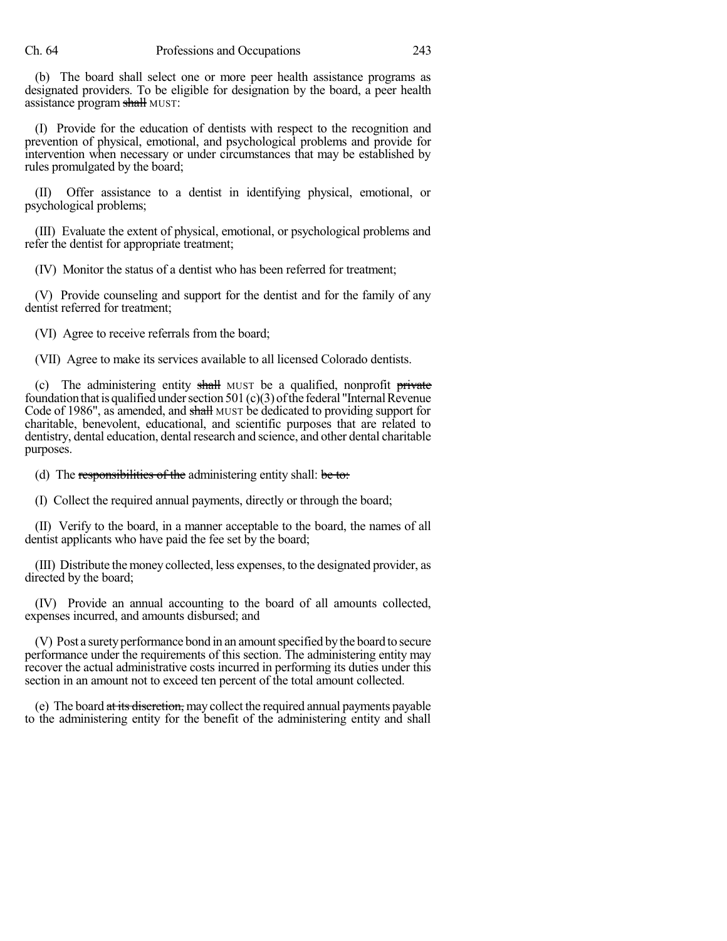(b) The board shall select one or more peer health assistance programs as designated providers. To be eligible for designation by the board, a peer health assistance program shall MUST:

(I) Provide for the education of dentists with respect to the recognition and prevention of physical, emotional, and psychological problems and provide for intervention when necessary or under circumstances that may be established by rules promulgated by the board;

(II) Offer assistance to a dentist in identifying physical, emotional, or psychological problems;

(III) Evaluate the extent of physical, emotional, or psychological problems and refer the dentist for appropriate treatment;

(IV) Monitor the status of a dentist who has been referred for treatment;

(V) Provide counseling and support for the dentist and for the family of any dentist referred for treatment;

(VI) Agree to receive referrals from the board;

(VII) Agree to make its services available to all licensed Colorado dentists.

(c) The administering entity shall MUST be a qualified, nonprofit private foundation that is qualified under section 501 (c)(3) of the federal "Internal Revenue Code of 1986", as amended, and shall MUST be dedicated to providing support for charitable, benevolent, educational, and scientific purposes that are related to dentistry, dental education, dental research and science, and other dental charitable purposes.

(d) The responsibilities of the administering entity shall: be to:

(I) Collect the required annual payments, directly or through the board;

(II) Verify to the board, in a manner acceptable to the board, the names of all dentist applicants who have paid the fee set by the board;

(III) Distribute the money collected, less expenses, to the designated provider, as directed by the board;

(IV) Provide an annual accounting to the board of all amounts collected, expenses incurred, and amounts disbursed; and

(V) Post a surety performance bond in an amount specified by the board to secure performance under the requirements of this section. The administering entity may recover the actual administrative costs incurred in performing its duties under this section in an amount not to exceed ten percent of the total amount collected.

(e) The board at its discretion, may collect the required annual payments payable to the administering entity for the benefit of the administering entity and shall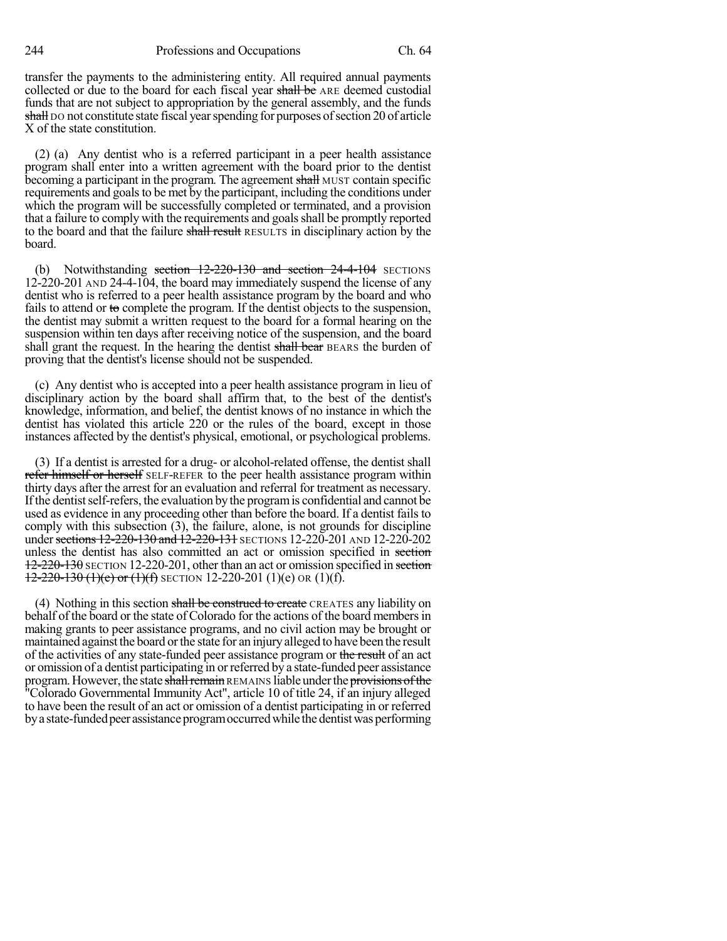244 Professions and Occupations Ch. 64

transfer the payments to the administering entity. All required annual payments collected or due to the board for each fiscal year shall be ARE deemed custodial funds that are not subject to appropriation by the general assembly, and the funds shall DO not constitute state fiscal year spending for purposes of section 20 of article X of the state constitution.

(2) (a) Any dentist who is a referred participant in a peer health assistance program shall enter into a written agreement with the board prior to the dentist becoming a participant in the program. The agreement shall MUST contain specific requirements and goals to be met by the participant, including the conditions under which the program will be successfully completed or terminated, and a provision that a failure to comply with the requirements and goalsshall be promptly reported to the board and that the failure shall result RESULTS in disciplinary action by the board.

(b) Notwithstanding section  $12{\text -}220{\text -}130$  and section  $24{\text -}4{\text -}104$  SECTIONS 12-220-201 AND 24-4-104, the board may immediately suspend the license of any dentist who is referred to a peer health assistance program by the board and who fails to attend or to complete the program. If the dentist objects to the suspension, the dentist may submit a written request to the board for a formal hearing on the suspension within ten days after receiving notice of the suspension, and the board shall grant the request. In the hearing the dentist shall bear BEARS the burden of proving that the dentist's license should not be suspended.

(c) Any dentist who is accepted into a peer health assistance program in lieu of disciplinary action by the board shall affirm that, to the best of the dentist's knowledge, information, and belief, the dentist knows of no instance in which the dentist has violated this article 220 or the rules of the board, except in those instances affected by the dentist's physical, emotional, or psychological problems.

(3) If a dentist is arrested for a drug- or alcohol-related offense, the dentist shall refer himself or herself SELF-REFER to the peer health assistance program within thirty days after the arrest for an evaluation and referral for treatment as necessary. Ifthe dentistself-refers, the evaluation by the programis confidential and cannot be used as evidence in any proceeding other than before the board. If a dentist fails to comply with this subsection (3), the failure, alone, is not grounds for discipline under sections 12-220-130 and 12-220-131 SECTIONS 12-220-201 AND 12-220-202 unless the dentist has also committed an act or omission specified in section 12-220-130 SECTION 12-220-201, other than an act or omission specified in section  $12-220-130$  (1)(e) or (1)(f) SECTION 12-220-201 (1)(e) OR (1)(f).

(4) Nothing in this section shall be construed to create CREATES any liability on behalf of the board or the state of Colorado for the actions of the board membersin making grants to peer assistance programs, and no civil action may be brought or maintained against the board or the state for an injury alleged to have been the result of the activities of any state-funded peer assistance program or the result of an act or omission of a dentist participating in orreferred by a state-funded peer assistance program. However, the state shall remain REMAINS liable under the provisions of the "Colorado Governmental Immunity Act", article 10 of title 24, if an injury alleged to have been the result of an act or omission of a dentist participating in or referred by a state-funded peer assistance program occurred while the dentist was performing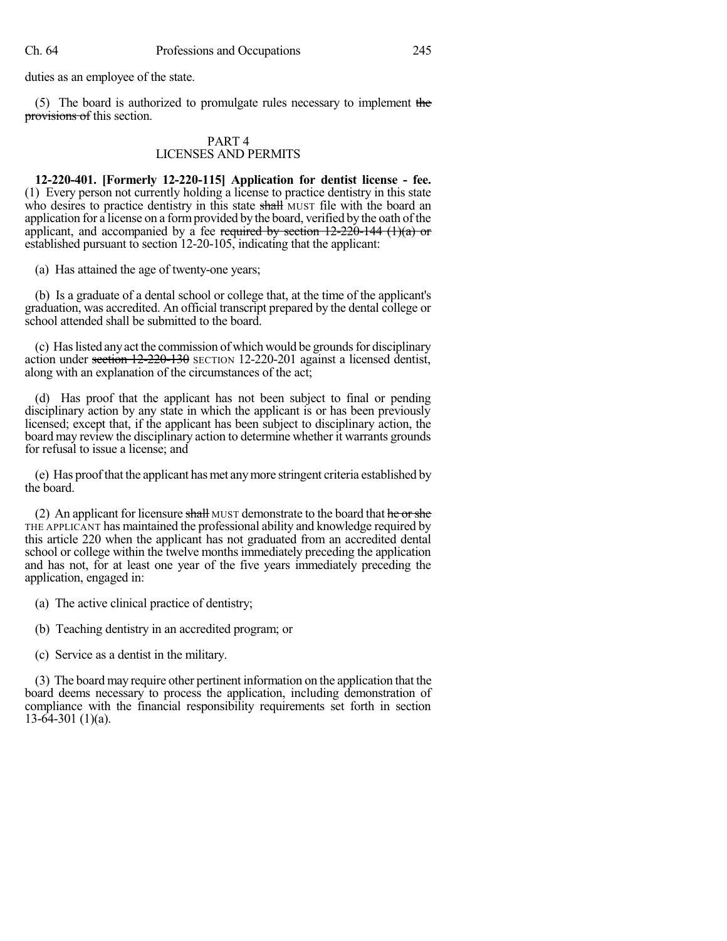duties as an employee of the state.

(5) The board is authorized to promulgate rules necessary to implement the provisions of this section.

#### PART 4 LICENSES AND PERMITS

**12-220-401. [Formerly 12-220-115] Application for dentist license - fee.** (1) Every person not currently holding a license to practice dentistry in this state who desires to practice dentistry in this state shall MUST file with the board an application for a license on a formprovided by the board, verified by the oath of the applicant, and accompanied by a fee required by section  $12-220-144$  (1)(a) or established pursuant to section 12-20-105, indicating that the applicant:

(a) Has attained the age of twenty-one years;

(b) Is a graduate of a dental school or college that, at the time of the applicant's graduation, was accredited. An official transcript prepared by the dental college or school attended shall be submitted to the board.

(c) Has listed any act the commission of which would be grounds for disciplinary action under section 12-220-130 SECTION 12-220-201 against a licensed dentist, along with an explanation of the circumstances of the act;

(d) Has proof that the applicant has not been subject to final or pending disciplinary action by any state in which the applicant is or has been previously licensed; except that, if the applicant has been subject to disciplinary action, the board may review the disciplinary action to determine whether it warrants grounds for refusal to issue a license; and

(e) Has proofthat the applicant hasmet anymore stringent criteria established by the board.

(2) An applicant for licensure shall MUST demonstrate to the board that he or she THE APPLICANT has maintained the professional ability and knowledge required by this article 220 when the applicant has not graduated from an accredited dental school or college within the twelve months immediately preceding the application and has not, for at least one year of the five years immediately preceding the application, engaged in:

- (a) The active clinical practice of dentistry;
- (b) Teaching dentistry in an accredited program; or
- (c) Service as a dentist in the military.

(3) The board may require other pertinent information on the application that the board deems necessary to process the application, including demonstration of compliance with the financial responsibility requirements set forth in section  $13-64-301$  (1)(a).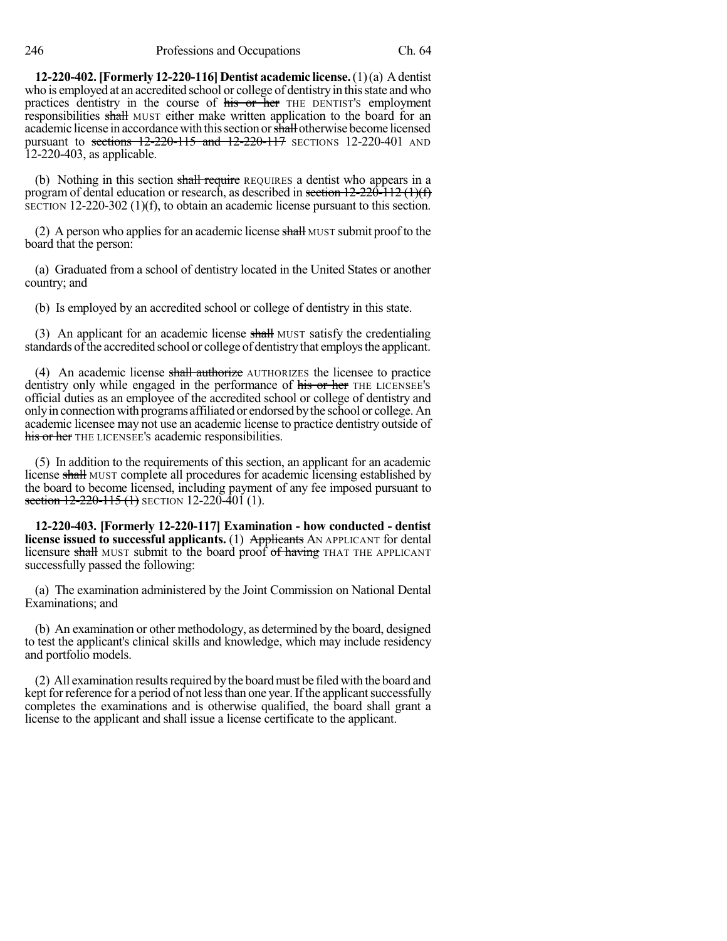246 Professions and Occupations Ch. 64

**12-220-402.[Formerly 12-220-116] Dentist academic license.**(1)(a) Adentist who is employed at an accredited school or college of dentistry in this state and who practices dentistry in the course of his or her THE DENTIST's employment responsibilities shall MUST either make written application to the board for an academic license in accordance with this section or shall otherwise become licensed pursuant to sections 12-220-115 and 12-220-117 SECTIONS 12-220-401 AND 12-220-403, as applicable.

(b) Nothing in this section shall require REQUIRES a dentist who appears in a program of dental education or research, as described in section  $12-220-112$  (1)(f) SECTION 12-220-302 (1)(f), to obtain an academic license pursuant to this section.

(2) A person who applies for an academic license shall MUST submit proof to the board that the person:

(a) Graduated from a school of dentistry located in the United States or another country; and

(b) Is employed by an accredited school or college of dentistry in this state.

(3) An applicant for an academic license shall MUST satisfy the credentialing standards of the accredited school or college of dentistry that employs the applicant.

(4) An academic license shall authorize AUTHORIZES the licensee to practice dentistry only while engaged in the performance of his or her THE LICENSEE's official duties as an employee of the accredited school or college of dentistry and onlyin connectionwith programs affiliated or endorsed bythe school or college.An academic licensee may not use an academic license to practice dentistry outside of his or her THE LICENSEE's academic responsibilities.

(5) In addition to the requirements of this section, an applicant for an academic license shall MUST complete all procedures for academic licensing established by the board to become licensed, including payment of any fee imposed pursuant to section  $12-220-115$  (1) SECTION 12-220-401 (1).

**12-220-403. [Formerly 12-220-117] Examination - how conducted - dentist license issued to successful applicants.** (1) Applicants AN APPLICANT for dental licensure shall MUST submit to the board proof of having THAT THE APPLICANT successfully passed the following:

(a) The examination administered by the Joint Commission on National Dental Examinations; and

(b) An examination or other methodology, as determined by the board, designed to test the applicant's clinical skills and knowledge, which may include residency and portfolio models.

(2) All examination results required by the board must be filed with the board and kept for reference for a period of not less than one year. If the applicant successfully completes the examinations and is otherwise qualified, the board shall grant a license to the applicant and shall issue a license certificate to the applicant.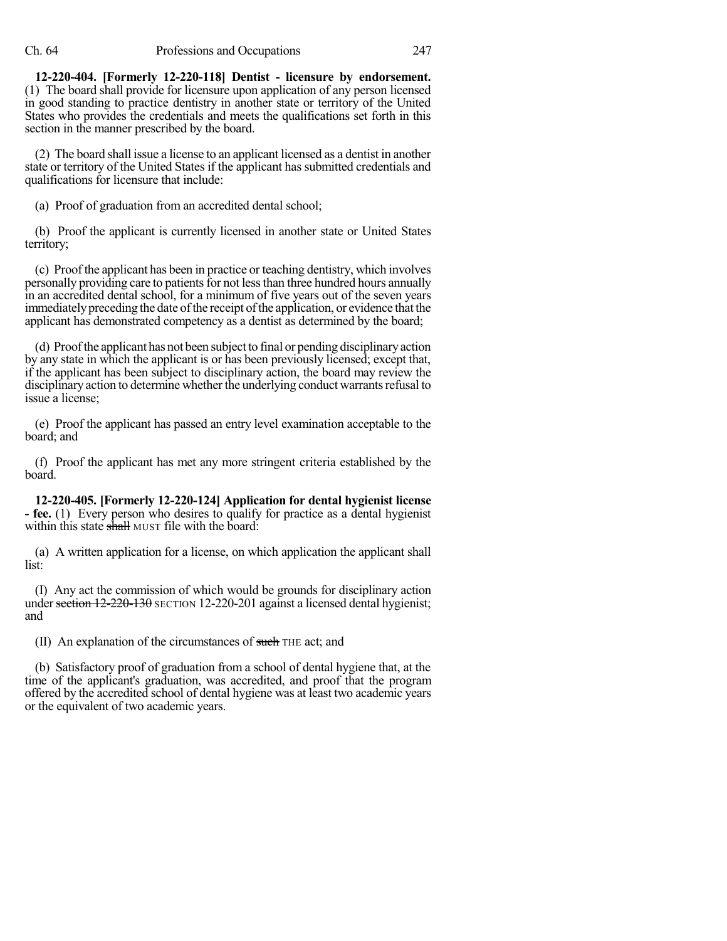**12-220-404. [Formerly 12-220-118] Dentist - licensure by endorsement.** (1) The board shall provide for licensure upon application of any person licensed in good standing to practice dentistry in another state or territory of the United States who provides the credentials and meets the qualifications set forth in this section in the manner prescribed by the board.

(2) The board shall issue a license to an applicant licensed as a dentist in another state or territory of the United States if the applicant has submitted credentials and qualifications for licensure that include:

(a) Proof of graduation from an accredited dental school;

(b) Proof the applicant is currently licensed in another state or United States territory;

(c) Proof the applicant has been in practice or teaching dentistry, which involves personally providing care to patients for not less than three hundred hours annually in an accredited dental school, for a minimum of five years out of the seven years immediately preceding the date of the receipt of the application, or evidence that the applicant has demonstrated competency as a dentist as determined by the board;

(d) Proofthe applicant has not been subject to final or pending disciplinaryaction by any state in which the applicant is or has been previously licensed; except that, if the applicant has been subject to disciplinary action, the board may review the disciplinary action to determine whether the underlying conduct warrants refusal to issue a license;

(e) Proof the applicant has passed an entry level examination acceptable to the board; and

(f) Proof the applicant has met any more stringent criteria established by the board.

**12-220-405. [Formerly 12-220-124] Application for dental hygienist license - fee.** (1) Every person who desires to qualify for practice as a dental hygienist within this state shall MUST file with the board:

(a) A written application for a license, on which application the applicant shall list:

(I) Any act the commission of which would be grounds for disciplinary action under section  $12-220-130$  SECTION 12-220-201 against a licensed dental hygienist; and

(II) An explanation of the circumstances of such THE act; and

(b) Satisfactory proof of graduation from a school of dental hygiene that, at the time of the applicant's graduation, was accredited, and proof that the program offered by the accredited school of dental hygiene was at least two academic years or the equivalent of two academic years.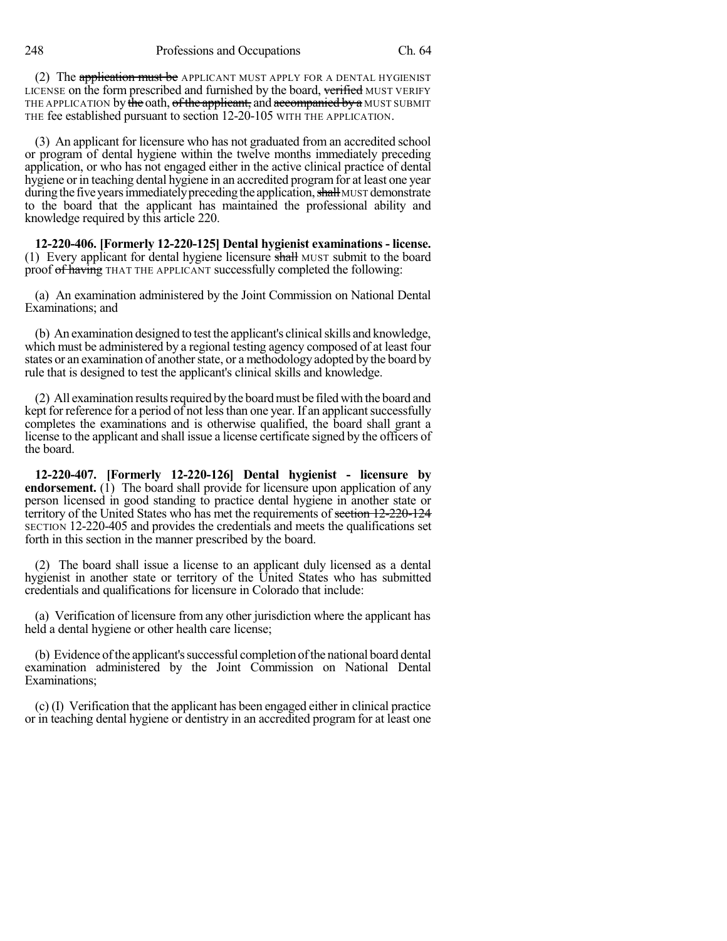248 Professions and Occupations Ch. 64

(2) The application must be APPLICANT MUST APPLY FOR A DENTAL HYGIENIST LICENSE on the form prescribed and furnished by the board, verified MUST VERIFY THE APPLICATION by the oath, of the applicant, and accompanied by a MUST SUBMIT THE fee established pursuant to section 12-20-105 WITH THE APPLICATION.

(3) An applicant for licensure who has not graduated from an accredited school or program of dental hygiene within the twelve months immediately preceding application, or who has not engaged either in the active clinical practice of dental hygiene or in teaching dental hygiene in an accredited program for at least one year during the five years immediately preceding the application, shall MUST demonstrate to the board that the applicant has maintained the professional ability and knowledge required by this article 220.

**12-220-406. [Formerly 12-220-125] Dental hygienist examinations - license.** (1) Every applicant for dental hygiene licensure shall MUST submit to the board proof of having THAT THE APPLICANT successfully completed the following:

(a) An examination administered by the Joint Commission on National Dental Examinations; and

(b) An examination designed to test the applicant's clinical skills and knowledge, which must be administered by a regional testing agency composed of at least four states or an examination of another state, or a methodology adopted by the board by rule that is designed to test the applicant's clinical skills and knowledge.

(2) All examination results required by the board must be filed with the board and kept for reference for a period of not less than one year. If an applicant successfully completes the examinations and is otherwise qualified, the board shall grant a license to the applicant and shall issue a license certificate signed by the officers of the board.

**12-220-407. [Formerly 12-220-126] Dental hygienist - licensure by endorsement.** (1) The board shall provide for licensure upon application of any person licensed in good standing to practice dental hygiene in another state or territory of the United States who has met the requirements of section 12-220-124 SECTION 12-220-405 and provides the credentials and meets the qualifications set forth in this section in the manner prescribed by the board.

(2) The board shall issue a license to an applicant duly licensed as a dental hygienist in another state or territory of the United States who has submitted credentials and qualifications for licensure in Colorado that include:

(a) Verification of licensure from any other jurisdiction where the applicant has held a dental hygiene or other health care license;

(b) Evidence ofthe applicant'ssuccessful completion ofthe national board dental examination administered by the Joint Commission on National Dental Examinations;

(c) (I) Verification that the applicant has been engaged either in clinical practice or in teaching dental hygiene or dentistry in an accredited program for at least one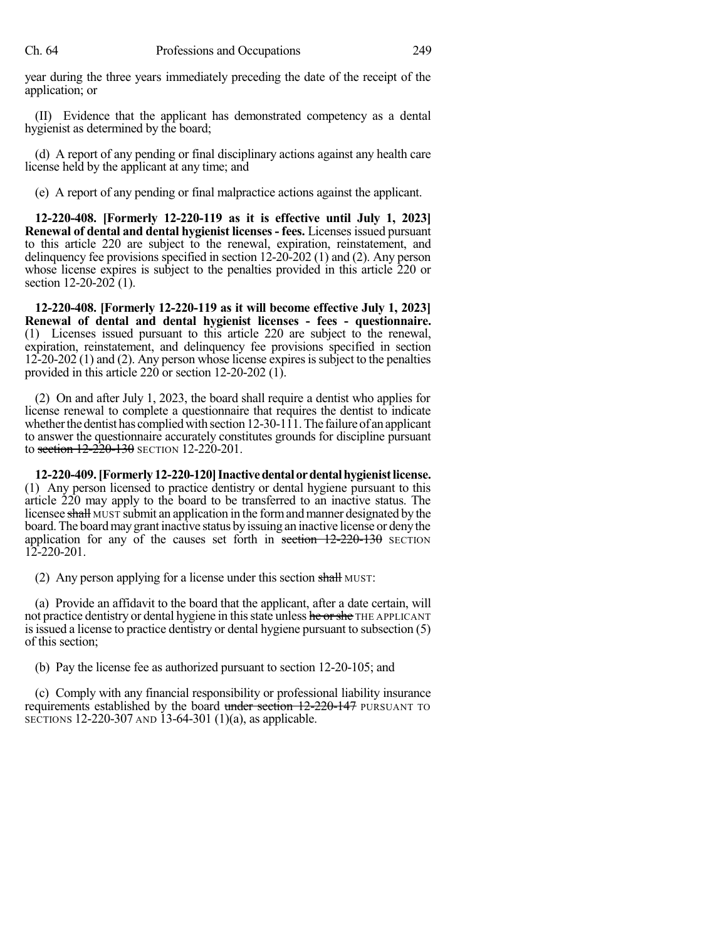year during the three years immediately preceding the date of the receipt of the application; or

(II) Evidence that the applicant has demonstrated competency as a dental hygienist as determined by the board;

(d) A report of any pending or final disciplinary actions against any health care license held by the applicant at any time; and

(e) A report of any pending or final malpractice actions against the applicant.

**12-220-408. [Formerly 12-220-119 as it is effective until July 1, 2023] Renewal of dental and dental hygienist licenses- fees.** Licenses issued pursuant to this article 220 are subject to the renewal, expiration, reinstatement, and delinquency fee provisions specified in section 12-20-202 (1) and (2). Any person whose license expires is subject to the penalties provided in this article 220 or section 12-20-202 (1).

**12-220-408. [Formerly 12-220-119 as it will become effective July 1, 2023] Renewal of dental and dental hygienist licenses - fees - questionnaire.** (1) Licenses issued pursuant to this article 220 are subject to the renewal, expiration, reinstatement, and delinquency fee provisions specified in section 12-20-202 (1) and (2). Any person whose license expiresissubject to the penalties provided in this article 220 or section 12-20-202 (1).

(2) On and after July 1, 2023, the board shall require a dentist who applies for license renewal to complete a questionnaire that requires the dentist to indicate whether the dentist has complied with section  $12-30-11$ . The failure of an applicant to answer the questionnaire accurately constitutes grounds for discipline pursuant to section  $12-220-130$  SECTION 12-220-201.

**12-220-409.[Formerly12-220-120]Inactivedentalordentalhygienistlicense.** (1) Any person licensed to practice dentistry or dental hygiene pursuant to this article 220 may apply to the board to be transferred to an inactive status. The licensee shall MUST submit an application in the form and manner designated by the board.The boardmaygrant inactive status byissuing an inactive license or denythe application for any of the causes set forth in section  $12-220-130$  SECTION 12-220-201.

(2) Any person applying for a license under this section shall MUST:

(a) Provide an affidavit to the board that the applicant, after a date certain, will not practice dentistry or dental hygiene in this state unless he or she THE APPLICANT isissued a license to practice dentistry or dental hygiene pursuant to subsection (5) of this section;

(b) Pay the license fee as authorized pursuant to section 12-20-105; and

(c) Comply with any financial responsibility or professional liability insurance requirements established by the board under section 12-220-147 PURSUANT TO SECTIONS 12-220-307 AND 13-64-301 (1)(a), as applicable.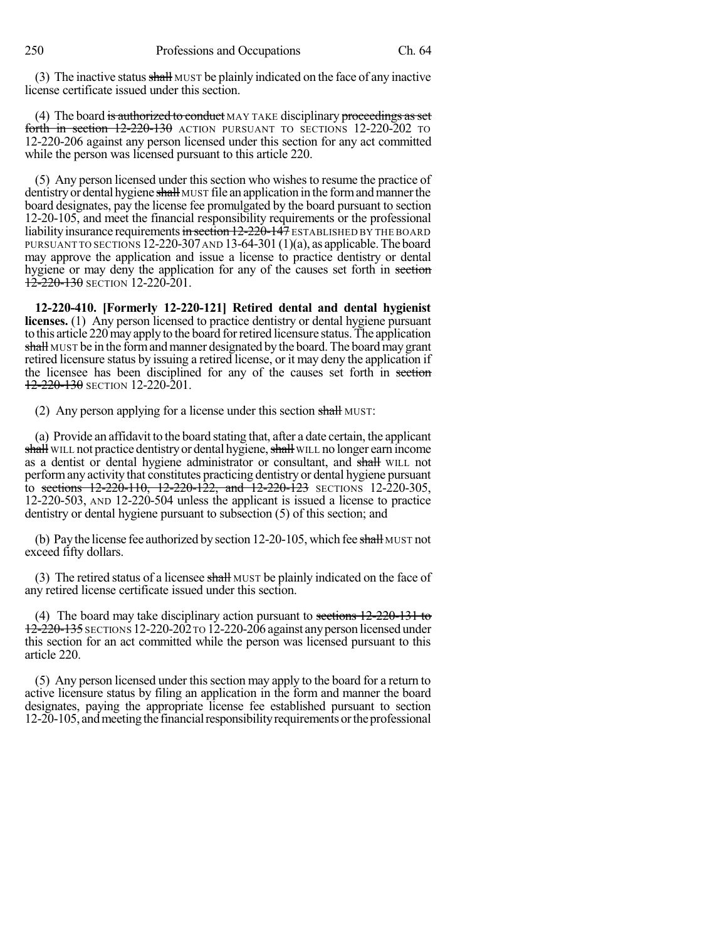(3) The inactive status  $\frac{\text{shall}}{\text{MUST}}$  be plainly indicated on the face of any inactive license certificate issued under this section.

(4) The board is authorized to conduct MAY TAKE disciplinary proceedings as set forth in section 12-220-130 ACTION PURSUANT TO SECTIONS 12-220-202 TO 12-220-206 against any person licensed under this section for any act committed while the person was licensed pursuant to this article 220.

(5) Any person licensed under this section who wishesto resume the practice of dentistry or dental hygiene shall MUST file an application in the form and manner the board designates, pay the license fee promulgated by the board pursuant to section 12-20-105, and meet the financial responsibility requirements or the professional liability insurance requirements in section 12-220-147 ESTABLISHED BY THE BOARD PURSUANT TO SECTIONS 12-220-307 AND 13-64-301  $(1)(a)$ , as applicable. The board may approve the application and issue a license to practice dentistry or dental hygiene or may deny the application for any of the causes set forth in section  $12-220-130$  SECTION 12-220-201.

**12-220-410. [Formerly 12-220-121] Retired dental and dental hygienist licenses.** (1) Any person licensed to practice dentistry or dental hygiene pursuant to this article 220mayapplyto the board forretired licensure status.The application shall MUST be in the form and manner designated by the board. The board may grant retired licensure status by issuing a retired license, or it may deny the application if the licensee has been disciplined for any of the causes set forth in section 12-220-130 SECTION 12-220-201.

(2) Any person applying for a license under this section shall MUST:

(a) Provide an affidavit to the board stating that, after a date certain, the applicant shall WILL not practice dentistry or dental hygiene, shall WILL no longer earn income as a dentist or dental hygiene administrator or consultant, and shall WILL not performany activity that constitutes practicing dentistry or dental hygiene pursuant to sections 12-220-110, 12-220-122, and 12-220-123 SECTIONS 12-220-305, 12-220-503, AND 12-220-504 unless the applicant is issued a license to practice dentistry or dental hygiene pursuant to subsection (5) of this section; and

(b) Pay the license fee authorized by section  $12-20-105$ , which fee shall MUST not exceed fifty dollars.

(3) The retired status of a licensee shall MUST be plainly indicated on the face of any retired license certificate issued under this section.

(4) The board may take disciplinary action pursuant to sections  $12-220-131$  to 12-220-135 SECTIONS 12-220-202TO 12-220-206 against anyperson licensed under this section for an act committed while the person was licensed pursuant to this article 220.

(5) Any person licensed under thissection may apply to the board for a return to active licensure status by filing an application in the form and manner the board designates, paying the appropriate license fee established pursuant to section 12-20-105, and meeting the financial responsibility requirements or the professional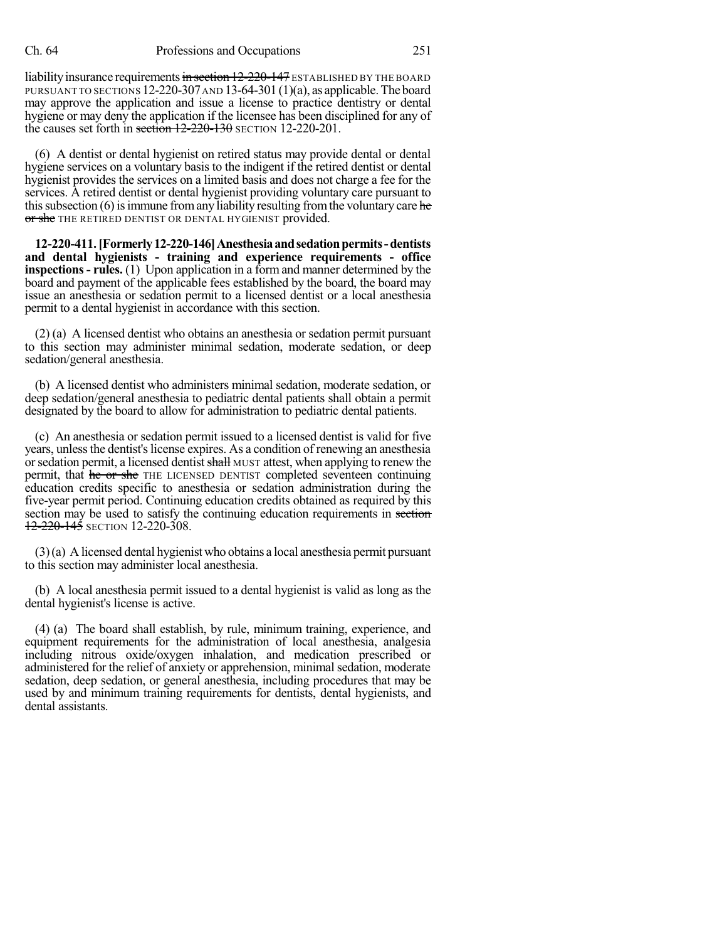liability insurance requirements in section 12-220-147 ESTABLISHED BY THE BOARD PURSUANT TO SECTIONS 12-220-307 AND 13-64-301 (1)(a), as applicable. The board may approve the application and issue a license to practice dentistry or dental hygiene or may deny the application if the licensee has been disciplined for any of the causes set forth in section  $12-220-130$  SECTION 12-220-201.

(6) A dentist or dental hygienist on retired status may provide dental or dental hygiene services on a voluntary basis to the indigent if the retired dentist or dental hygienist provides the services on a limited basis and does not charge a fee for the services. A retired dentist or dental hygienist providing voluntary care pursuant to this subsection  $(6)$  is immune from any liability resulting from the voluntary care he or she THE RETIRED DENTIST OR DENTAL HYGIENIST provided.

**12-220-411.[Formerly12-220-146]Anesthesiaandsedationpermits-dentists and dental hygienists - training and experience requirements - office inspections- rules.** (1) Upon application in a form and manner determined by the board and payment of the applicable fees established by the board, the board may issue an anesthesia or sedation permit to a licensed dentist or a local anesthesia permit to a dental hygienist in accordance with this section.

(2) (a) A licensed dentist who obtains an anesthesia or sedation permit pursuant to this section may administer minimal sedation, moderate sedation, or deep sedation/general anesthesia.

(b) A licensed dentist who administers minimal sedation, moderate sedation, or deep sedation/general anesthesia to pediatric dental patients shall obtain a permit designated by the board to allow for administration to pediatric dental patients.

(c) An anesthesia or sedation permit issued to a licensed dentist is valid for five years, unless the dentist's license expires. As a condition of renewing an anesthesia or sedation permit, a licensed dentist shall MUST attest, when applying to renew the permit, that he or she THE LICENSED DENTIST completed seventeen continuing education credits specific to anesthesia or sedation administration during the five-year permit period. Continuing education credits obtained as required by this section may be used to satisfy the continuing education requirements in section  $12 - 220 - 145$  SECTION 12-220-308.

(3)(a) A licensed dental hygienist who obtains a local anesthesia permit pursuant to this section may administer local anesthesia.

(b) A local anesthesia permit issued to a dental hygienist is valid as long as the dental hygienist's license is active.

(4) (a) The board shall establish, by rule, minimum training, experience, and equipment requirements for the administration of local anesthesia, analgesia including nitrous oxide/oxygen inhalation, and medication prescribed or administered for the relief of anxiety or apprehension, minimalsedation, moderate sedation, deep sedation, or general anesthesia, including procedures that may be used by and minimum training requirements for dentists, dental hygienists, and dental assistants.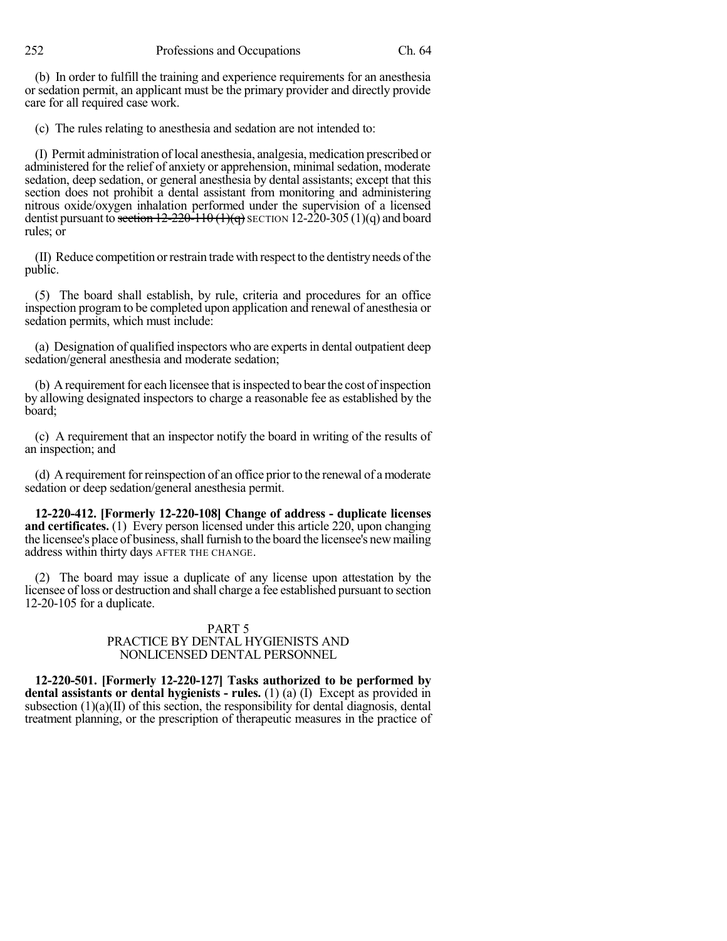252 Professions and Occupations Ch. 64

(b) In order to fulfill the training and experience requirements for an anesthesia or sedation permit, an applicant must be the primary provider and directly provide care for all required case work.

(c) The rules relating to anesthesia and sedation are not intended to:

(I) Permit administration oflocal anesthesia, analgesia, medication prescribed or administered for the relief of anxiety or apprehension, minimal sedation, moderate sedation, deep sedation, or general anesthesia by dental assistants; except that this section does not prohibit a dental assistant from monitoring and administering nitrous oxide/oxygen inhalation performed under the supervision of a licensed dentist pursuant to section  $12-220-110(1)(q)$  SECTION 12-220-305 (1)(q) and board rules; or

(II) Reduce competition orrestrain tradewith respect to the dentistry needs ofthe public.

(5) The board shall establish, by rule, criteria and procedures for an office inspection program to be completed upon application and renewal of anesthesia or sedation permits, which must include:

(a) Designation of qualified inspectors who are experts in dental outpatient deep sedation/general anesthesia and moderate sedation;

(b) A requirement for each licensee that is inspected to bear the cost of inspection by allowing designated inspectors to charge a reasonable fee as established by the board;

(c) A requirement that an inspector notify the board in writing of the results of an inspection; and

(d) A requirement forreinspection of an office prior to the renewal of a moderate sedation or deep sedation/general anesthesia permit.

**12-220-412. [Formerly 12-220-108] Change of address - duplicate licenses and certificates.** (1) Every person licensed under this article 220, upon changing the licensee's place of business, shall furnish to the board the licensee's new mailing address within thirty days AFTER THE CHANGE.

(2) The board may issue a duplicate of any license upon attestation by the licensee of loss or destruction and shall charge a fee established pursuant to section 12-20-105 for a duplicate.

#### PART 5 PRACTICE BY DENTAL HYGIENISTS AND NONLICENSED DENTAL PERSONNEL

**12-220-501. [Formerly 12-220-127] Tasks authorized to be performed by dental assistants or dental hygienists - rules.** (1) (a) (I) Except as provided in subsection  $(1)(a)(II)$  of this section, the responsibility for dental diagnosis, dental treatment planning, or the prescription of therapeutic measures in the practice of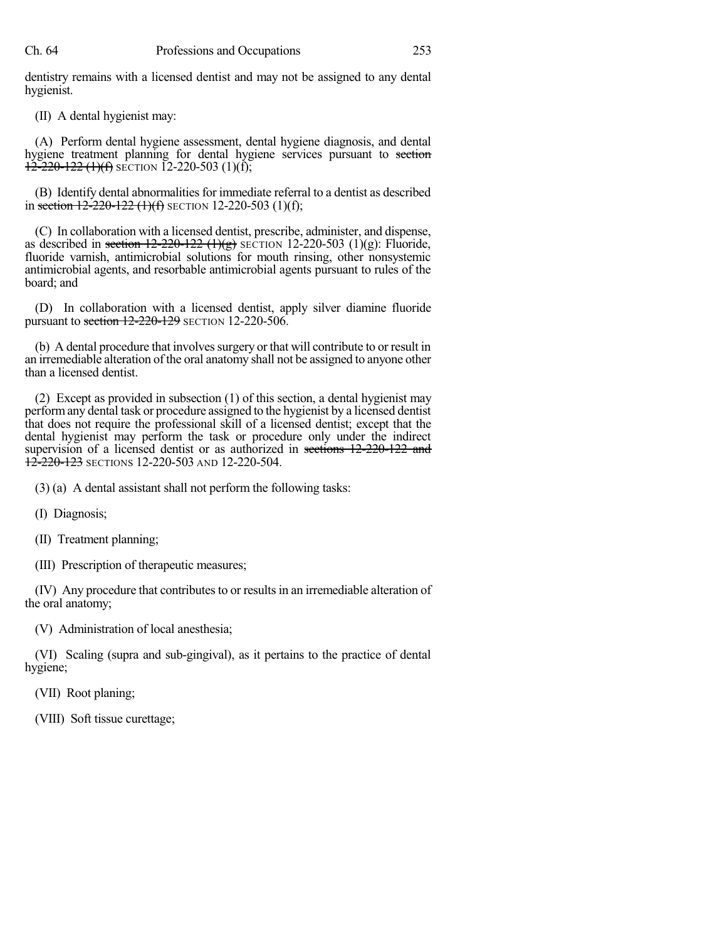dentistry remains with a licensed dentist and may not be assigned to any dental hygienist.

(II) A dental hygienist may:

(A) Perform dental hygiene assessment, dental hygiene diagnosis, and dental hygiene treatment planning for dental hygiene services pursuant to section  $12-220-122$  (1)(f) SECTION 12-220-503 (1)(f);

(B) Identify dental abnormalities for immediate referral to a dentist as described in section  $12-220-122$  (1)(f) SECTION 12-220-503 (1)(f);

(C) In collaboration with a licensed dentist, prescribe, administer, and dispense, as described in section  $12-220-122$  (1)(g) SECTION 12-220-503 (1)(g): Fluoride, fluoride varnish, antimicrobial solutions for mouth rinsing, other nonsystemic antimicrobial agents, and resorbable antimicrobial agents pursuant to rules of the board; and

(D) In collaboration with a licensed dentist, apply silver diamine fluoride pursuant to section 12-220-129 SECTION 12-220-506.

(b) A dental procedure that involves surgery or that will contribute to or result in an irremediable alteration of the oral anatomy shall not be assigned to anyone other than a licensed dentist.

(2) Except as provided in subsection (1) of this section, a dental hygienist may performany dental task or procedure assigned to the hygienist by a licensed dentist that does not require the professional skill of a licensed dentist; except that the dental hygienist may perform the task or procedure only under the indirect supervision of a licensed dentist or as authorized in sections 12-220-122 and  $12-220-123$  Sections 12-220-503 and 12-220-504.

(3) (a) A dental assistant shall not perform the following tasks:

(I) Diagnosis;

(II) Treatment planning;

(III) Prescription of therapeutic measures;

(IV) Any procedure that contributes to or results in an irremediable alteration of the oral anatomy;

(V) Administration of local anesthesia;

(VI) Scaling (supra and sub-gingival), as it pertains to the practice of dental hygiene;

(VII) Root planing;

(VIII) Soft tissue curettage;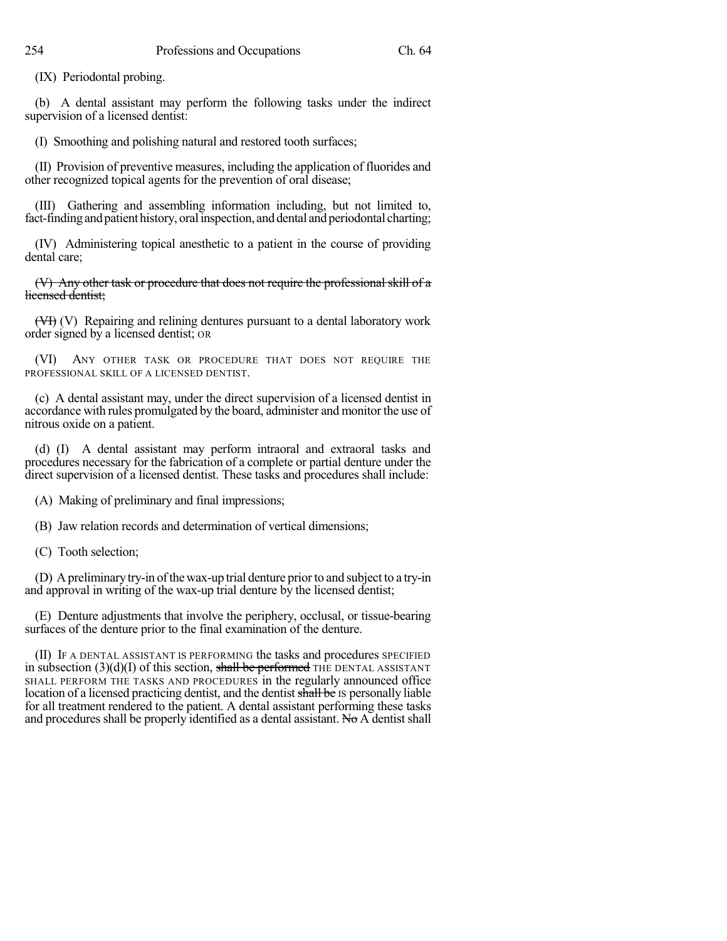(IX) Periodontal probing.

(b) A dental assistant may perform the following tasks under the indirect supervision of a licensed dentist:

(I) Smoothing and polishing natural and restored tooth surfaces;

(II) Provision of preventive measures, including the application of fluorides and other recognized topical agents for the prevention of oral disease;

(III) Gathering and assembling information including, but not limited to, fact-finding and patient history, oral inspection, and dental and periodontal charting;

(IV) Administering topical anesthetic to a patient in the course of providing dental care;

(V) Any other task or procedure that does not require the professional skill of a licensed dentist;

(VI) (V) Repairing and relining dentures pursuant to a dental laboratory work order signed by a licensed dentist; OR

(VI) ANY OTHER TASK OR PROCEDURE THAT DOES NOT REQUIRE THE PROFESSIONAL SKILL OF A LICENSED DENTIST.

(c) A dental assistant may, under the direct supervision of a licensed dentist in accordance with rules promulgated by the board, administer and monitor the use of nitrous oxide on a patient.

(d) (I) A dental assistant may perform intraoral and extraoral tasks and procedures necessary for the fabrication of a complete or partial denture under the direct supervision of a licensed dentist. These tasks and procedures shall include:

(A) Making of preliminary and final impressions;

(B) Jaw relation records and determination of vertical dimensions;

(C) Tooth selection;

(D) Apreliminarytry-in ofthewax-up trial denture priorto and subject to a try-in and approval in writing of the wax-up trial denture by the licensed dentist;

(E) Denture adjustments that involve the periphery, occlusal, or tissue-bearing surfaces of the denture prior to the final examination of the denture.

(II) IF A DENTAL ASSISTANT IS PERFORMING the tasks and procedures SPECIFIED in subsection  $(3)(d)(I)$  of this section, shall be performed THE DENTAL ASSISTANT SHALL PERFORM THE TASKS AND PROCEDURES in the regularly announced office location of a licensed practicing dentist, and the dentist shall be IS personally liable for all treatment rendered to the patient. A dental assistant performing these tasks and procedures shall be properly identified as a dental assistant. No  $\overrightarrow{A}$  dentist shall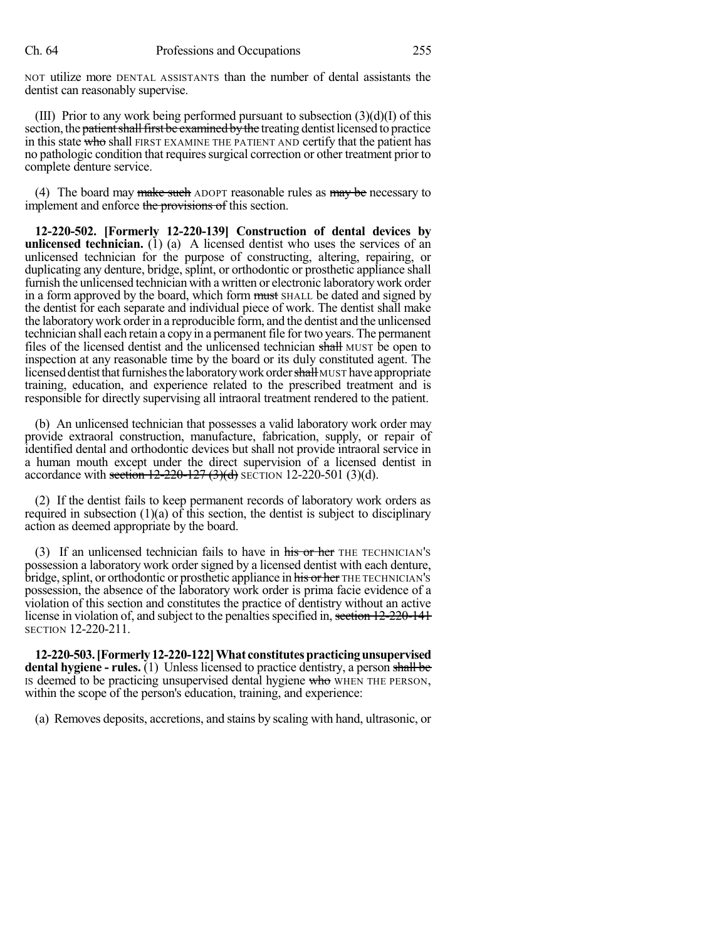NOT utilize more DENTAL ASSISTANTS than the number of dental assistants the dentist can reasonably supervise.

(III) Prior to any work being performed pursuant to subsection  $(3)(d)(I)$  of this section, the patient shall first be examined by the treating dentist licensed to practice in this state who shall FIRST EXAMINE THE PATIENT AND certify that the patient has no pathologic condition that requiressurgical correction or other treatment prior to complete denture service.

(4) The board may make such ADOPT reasonable rules as  $\frac{m}{y}$  be necessary to implement and enforce the provisions of this section.

**12-220-502. [Formerly 12-220-139] Construction of dental devices by unlicensed technician.** (1) (a) A licensed dentist who uses the services of an unlicensed technician for the purpose of constructing, altering, repairing, or duplicating any denture, bridge, splint, or orthodontic or prosthetic appliance shall furnish the unlicensed technician with a written or electronic laboratorywork order in a form approved by the board, which form must SHALL be dated and signed by the dentist for each separate and individual piece of work. The dentist shall make the laboratory work order in a reproducible form, and the dentist and the unlicensed technician shall each retain a copy in a permanent file for two years. The permanent files of the licensed dentist and the unlicensed technician shall MUST be open to inspection at any reasonable time by the board or its duly constituted agent. The licensed dentist that furnishes the laboratory work order shall MUST have appropriate training, education, and experience related to the prescribed treatment and is responsible for directly supervising all intraoral treatment rendered to the patient.

(b) An unlicensed technician that possesses a valid laboratory work order may provide extraoral construction, manufacture, fabrication, supply, or repair of identified dental and orthodontic devices but shall not provide intraoral service in a human mouth except under the direct supervision of a licensed dentist in accordance with section  $12-220-127$  (3)(d) SECTION 12-220-501 (3)(d).

(2) If the dentist fails to keep permanent records of laboratory work orders as required in subsection (1)(a) of this section, the dentist is subject to disciplinary action as deemed appropriate by the board.

(3) If an unlicensed technician fails to have in his or her THE TECHNICIAN's possession a laboratory work order signed by a licensed dentist with each denture, bridge, splint, or orthodontic or prosthetic appliance in his or her THE TECHNICIAN's possession, the absence of the laboratory work order is prima facie evidence of a violation of this section and constitutes the practice of dentistry without an active license in violation of, and subject to the penalties specified in, section 12-220-141 SECTION 12-220-211.

**12-220-503.[Formerly12-220-122]What constitutespracticingunsupervised dental hygiene - rules.** (1) Unless licensed to practice dentistry, a person shall be Is deemed to be practicing unsupervised dental hygiene who WHEN THE PERSON, within the scope of the person's education, training, and experience:

(a) Removes deposits, accretions, and stains by scaling with hand, ultrasonic, or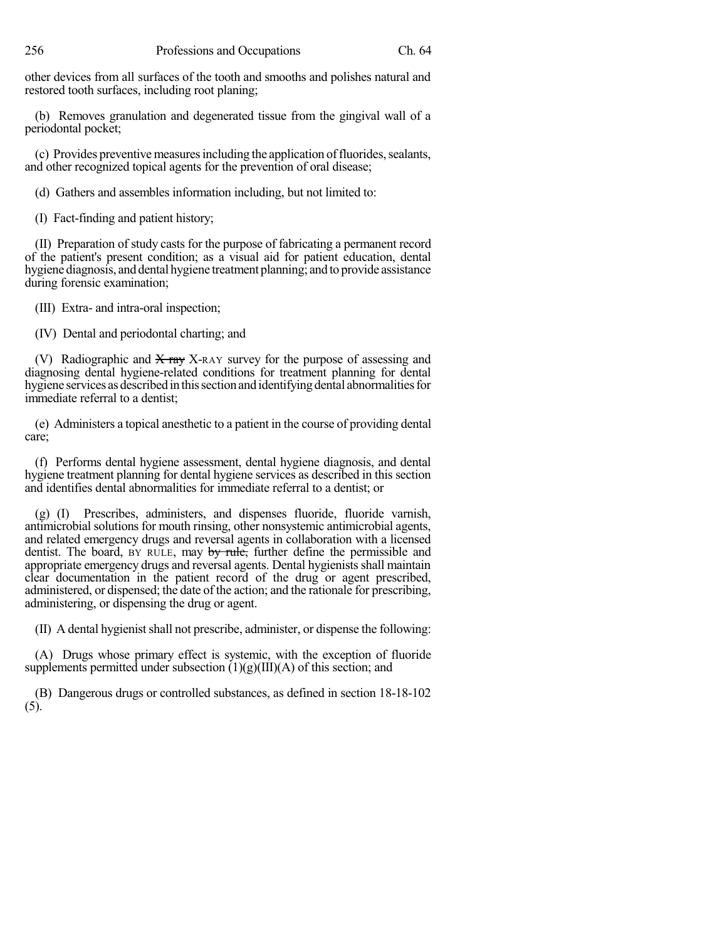other devices from all surfaces of the tooth and smooths and polishes natural and restored tooth surfaces, including root planing;

(b) Removes granulation and degenerated tissue from the gingival wall of a periodontal pocket;

(c) Provides preventive measures including the application of fluorides, sealants, and other recognized topical agents for the prevention of oral disease;

(d) Gathers and assembles information including, but not limited to:

(I) Fact-finding and patient history;

(II) Preparation of study casts for the purpose of fabricating a permanent record of the patient's present condition; as a visual aid for patient education, dental hygiene diagnosis, and dental hygiene treatment planning; and to provide assistance during forensic examination;

(III) Extra- and intra-oral inspection;

(IV) Dental and periodontal charting; and

(V) Radiographic and  $X$  ray X-RAY survey for the purpose of assessing and diagnosing dental hygiene-related conditions for treatment planning for dental hygiene services as described in this section and identifying dental abnormalities for immediate referral to a dentist;

(e) Administers a topical anesthetic to a patient in the course of providing dental care;

(f) Performs dental hygiene assessment, dental hygiene diagnosis, and dental hygiene treatment planning for dental hygiene services as described in this section and identifies dental abnormalities for immediate referral to a dentist; or

(g) (I) Prescribes, administers, and dispenses fluoride, fluoride varnish, antimicrobial solutions for mouth rinsing, other nonsystemic antimicrobial agents, and related emergency drugs and reversal agents in collaboration with a licensed dentist. The board, BY RULE, may by rule, further define the permissible and appropriate emergency drugs and reversal agents. Dental hygienists shall maintain clear documentation in the patient record of the drug or agent prescribed, administered, or dispensed; the date of the action; and the rationale for prescribing, administering, or dispensing the drug or agent.

(II) A dental hygienistshall not prescribe, administer, or dispense the following:

(A) Drugs whose primary effect is systemic, with the exception of fluoride supplements permitted under subsection  $(1)(g)(III)(A)$  of this section; and

(B) Dangerous drugs or controlled substances, as defined in section 18-18-102 (5).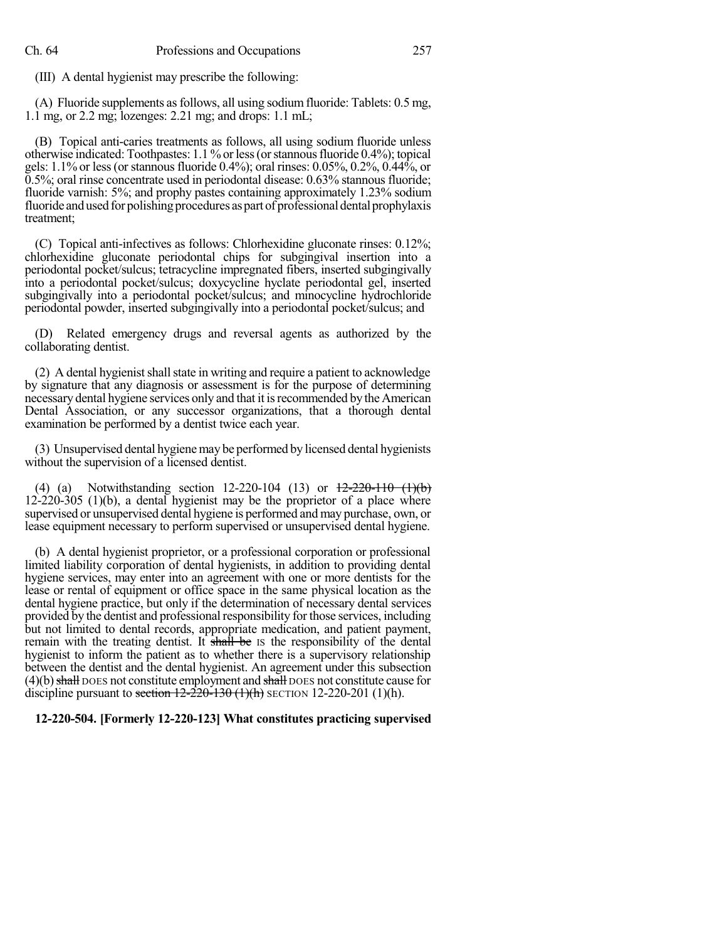(III) A dental hygienist may prescribe the following:

(A) Fluoride supplements asfollows, all using sodiumfluoride: Tablets: 0.5 mg, 1.1 mg, or 2.2 mg; lozenges: 2.21 mg; and drops: 1.1 mL;

(B) Topical anti-caries treatments as follows, all using sodium fluoride unless otherwise indicated: Toothpastes: 1.1 % orless(orstannousfluoride 0.4%); topical gels: 1.1% or less (or stannous fluoride 0.4%); oral rinses: 0.05%, 0.2%, 0.44%, or 0.5%; oral rinse concentrate used in periodontal disease: 0.63% stannous fluoride; fluoride varnish: 5%; and prophy pastes containing approximately 1.23% sodium fluoride and used for polishing procedures as part of professional dental prophylaxis treatment;

(C) Topical anti-infectives as follows: Chlorhexidine gluconate rinses: 0.12%; chlorhexidine gluconate periodontal chips for subgingival insertion into a periodontal pocket/sulcus; tetracycline impregnated fibers, inserted subgingivally into a periodontal pocket/sulcus; doxycycline hyclate periodontal gel, inserted subgingivally into a periodontal pocket/sulcus; and minocycline hydrochloride periodontal powder, inserted subgingivally into a periodontal pocket/sulcus; and

(D) Related emergency drugs and reversal agents as authorized by the collaborating dentist.

(2) A dental hygienist shall state in writing and require a patient to acknowledge by signature that any diagnosis or assessment is for the purpose of determining necessary dental hygiene services only and that it isrecommended by the American Dental Association, or any successor organizations, that a thorough dental examination be performed by a dentist twice each year.

(3) Unsupervised dental hygienemay be performed by licensed dental hygienists without the supervision of a licensed dentist.

(4) (a) Notwithstanding section  $12-220-104$  (13) or  $12-220-110$  (1)(b) 12-220-305 (1)(b), a dental hygienist may be the proprietor of a place where supervised or unsupervised dental hygiene is performed and may purchase, own, or lease equipment necessary to perform supervised or unsupervised dental hygiene.

(b) A dental hygienist proprietor, or a professional corporation or professional limited liability corporation of dental hygienists, in addition to providing dental hygiene services, may enter into an agreement with one or more dentists for the lease or rental of equipment or office space in the same physical location as the dental hygiene practice, but only if the determination of necessary dental services provided by the dentist and professional responsibility for those services, including but not limited to dental records, appropriate medication, and patient payment, remain with the treating dentist. It shall be IS the responsibility of the dental hygienist to inform the patient as to whether there is a supervisory relationship between the dentist and the dental hygienist. An agreement under this subsection  $(4)(b)$  shall DOES not constitute employment and shall DOES not constitute cause for discipline pursuant to section  $12-220-130$  (1)(h) SECTION 12-220-201 (1)(h).

### **12-220-504. [Formerly 12-220-123] What constitutes practicing supervised**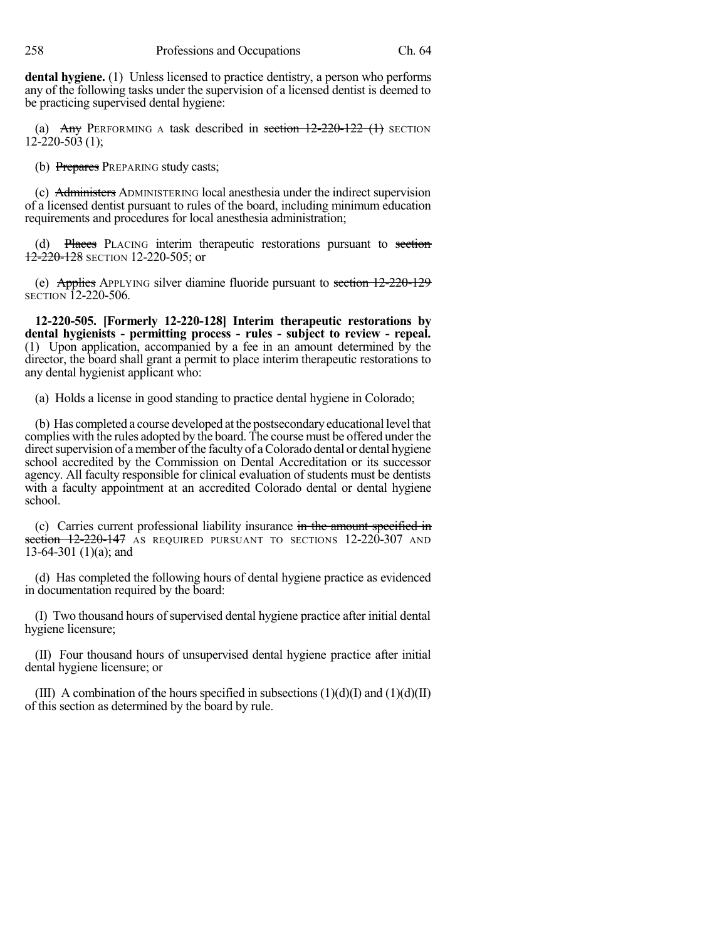**dental hygiene.** (1) Unless licensed to practice dentistry, a person who performs any of the following tasks under the supervision of a licensed dentist is deemed to be practicing supervised dental hygiene:

(a) Any PERFORMING A task described in section  $12-220-122$  (1) SECTION 12-220-503 (1);

(b) Prepares PREPARING study casts;

(c) Administers ADMINISTERING local anesthesia under the indirect supervision of a licensed dentist pursuant to rules of the board, including minimum education requirements and procedures for local anesthesia administration;

(d) Places PLACING interim therapeutic restorations pursuant to section 12-220-128 SECTION 12-220-505; or

(e) Applies APPLYING silver diamine fluoride pursuant to section 12-220-129 SECTION 12-220-506.

**12-220-505. [Formerly 12-220-128] Interim therapeutic restorations by dental hygienists - permitting process - rules - subject to review - repeal.** (1) Upon application, accompanied by a fee in an amount determined by the director, the board shall grant a permit to place interim therapeutic restorations to any dental hygienist applicant who:

(a) Holds a license in good standing to practice dental hygiene in Colorado;

(b) Has completed a course developed atthe postsecondaryeducational level that complies with the rules adopted by the board. The course must be offered under the direct supervision of a member of the faculty of a Colorado dental or dental hygiene school accredited by the Commission on Dental Accreditation or its successor agency. All faculty responsible for clinical evaluation of students must be dentists with a faculty appointment at an accredited Colorado dental or dental hygiene school.

(c) Carries current professional liability insurance in the amount specified in section 12-220-147 AS REQUIRED PURSUANT TO SECTIONS 12-220-307 AND 13-64-301 (1)(a); and

(d) Has completed the following hours of dental hygiene practice as evidenced in documentation required by the board:

(I) Two thousand hours of supervised dental hygiene practice after initial dental hygiene licensure;

(II) Four thousand hours of unsupervised dental hygiene practice after initial dental hygiene licensure; or

(III) A combination of the hours specified in subsections  $(1)(d)(I)$  and  $(1)(d)(II)$ of this section as determined by the board by rule.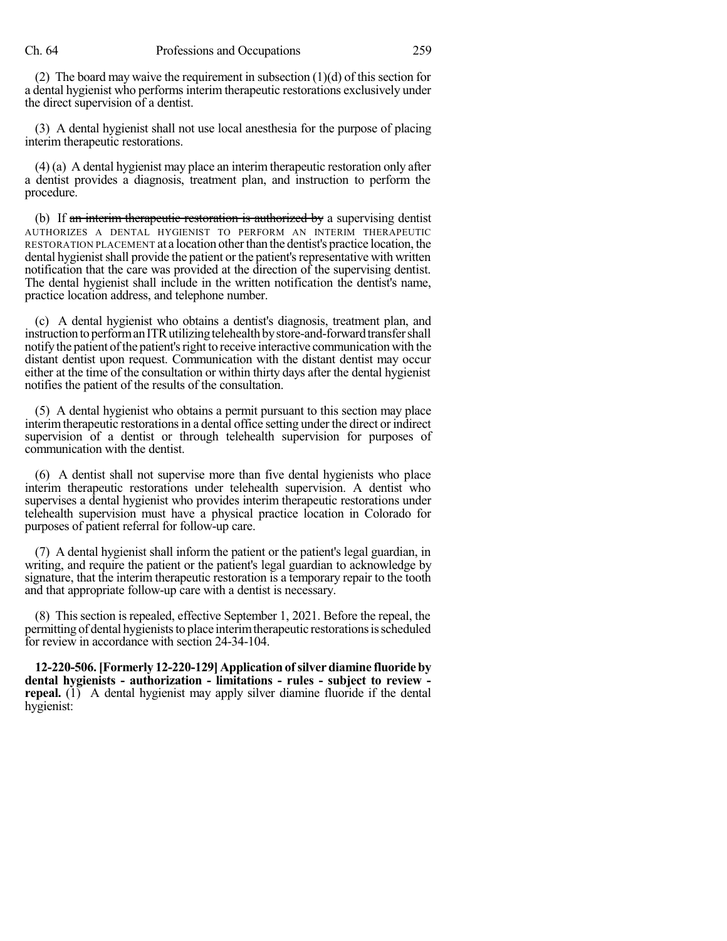(2) The board may waive the requirement in subsection  $(1)(d)$  of this section for a dental hygienist who performs interim therapeutic restorations exclusively under the direct supervision of a dentist.

(3) A dental hygienist shall not use local anesthesia for the purpose of placing interim therapeutic restorations.

(4) (a) A dental hygienist may place an interim therapeutic restoration only after a dentist provides a diagnosis, treatment plan, and instruction to perform the procedure.

(b) If an interim therapeutic restoration is authorized by a supervising dentist AUTHORIZES A DENTAL HYGIENIST TO PERFORM AN INTERIM THERAPEUTIC RESTORATION PLACEMENT at a location otherthan the dentist's practice location, the dental hygienist shall provide the patient or the patient's representative with written notification that the care was provided at the direction of the supervising dentist. The dental hygienist shall include in the written notification the dentist's name, practice location address, and telephone number.

(c) A dental hygienist who obtains a dentist's diagnosis, treatment plan, and instruction to perform an ITR utilizing telehealth by store-and-forward transfer shall notify the patient of the patient's right to receive interactive communication with the distant dentist upon request. Communication with the distant dentist may occur either at the time of the consultation or within thirty days after the dental hygienist notifies the patient of the results of the consultation.

(5) A dental hygienist who obtains a permit pursuant to this section may place interim therapeutic restorations in a dental office setting under the direct or indirect supervision of a dentist or through telehealth supervision for purposes of communication with the dentist.

(6) A dentist shall not supervise more than five dental hygienists who place interim therapeutic restorations under telehealth supervision. A dentist who supervises a dental hygienist who provides interim therapeutic restorations under telehealth supervision must have a physical practice location in Colorado for purposes of patient referral for follow-up care.

(7) A dental hygienist shall inform the patient or the patient's legal guardian, in writing, and require the patient or the patient's legal guardian to acknowledge by signature, that the interim therapeutic restoration is a temporary repair to the tooth and that appropriate follow-up care with a dentist is necessary.

(8) This section isrepealed, effective September 1, 2021. Before the repeal, the permitting of dental hygienists to place interim therapeutic restorations is scheduled for review in accordance with section 24-34-104.

**12-220-506.[Formerly 12-220-129] Application ofsilver diamine fluoride by dental hygienists - authorization - limitations - rules - subject to review repeal.** (1) A dental hygienist may apply silver diamine fluoride if the dental hygienist: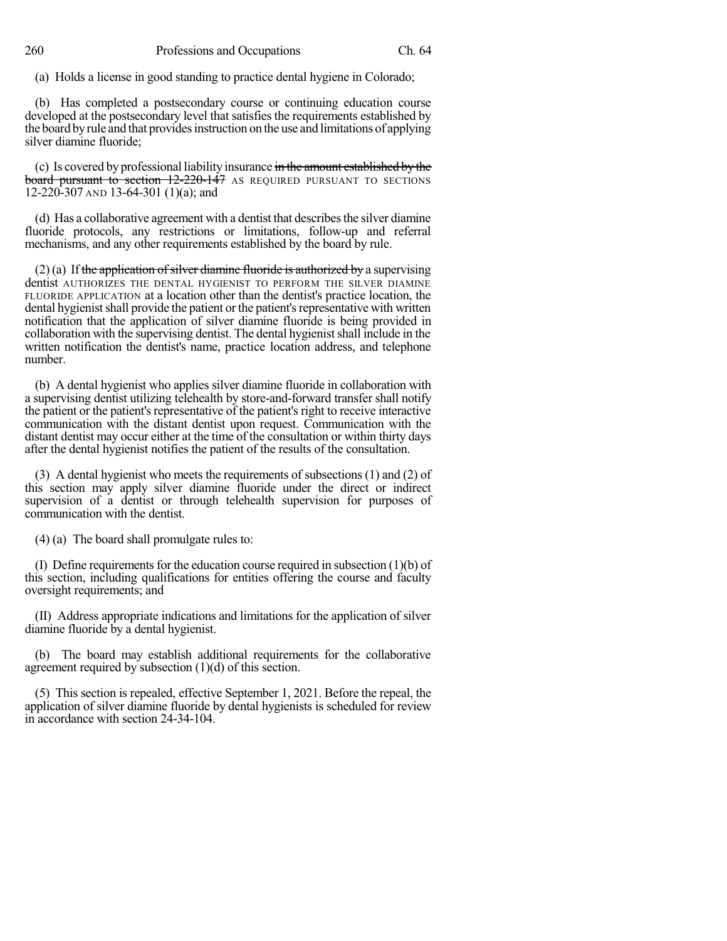(a) Holds a license in good standing to practice dental hygiene in Colorado;

(b) Has completed a postsecondary course or continuing education course developed at the postsecondary level that satisfies the requirements established by the board by rule and that provides instruction on the use and limitations of applying silver diamine fluoride;

(c) Is covered by professional liability insurance in the amount established by the board pursuant to section 12-220-147 AS REQUIRED PURSUANT TO SECTIONS 12-220-307 AND 13-64-301 (1)(a); and

(d) Has a collaborative agreement with a dentist that describesthe silver diamine fluoride protocols, any restrictions or limitations, follow-up and referral mechanisms, and any other requirements established by the board by rule.

 $(2)$  (a) If the application of silver diamine fluoride is authorized by a supervising dentist AUTHORIZES THE DENTAL HYGIENIST TO PERFORM THE SILVER DIAMINE FLUORIDE APPLICATION at a location other than the dentist's practice location, the dental hygienist shall provide the patient or the patient's representative with written notification that the application of silver diamine fluoride is being provided in collaboration with the supervising dentist. The dental hygienist shall include in the written notification the dentist's name, practice location address, and telephone number.

(b) A dental hygienist who applies silver diamine fluoride in collaboration with a supervising dentist utilizing telehealth by store-and-forward transfer shall notify the patient or the patient's representative of the patient's right to receive interactive communication with the distant dentist upon request. Communication with the distant dentist may occur either at the time of the consultation or within thirty days after the dental hygienist notifies the patient of the results of the consultation.

(3) A dental hygienist who meets the requirements of subsections (1) and (2) of this section may apply silver diamine fluoride under the direct or indirect supervision of a dentist or through telehealth supervision for purposes of communication with the dentist.

(4) (a) The board shall promulgate rules to:

(I) Define requirements for the education course required in subsection  $(1)(b)$  of this section, including qualifications for entities offering the course and faculty oversight requirements; and

(II) Address appropriate indications and limitations for the application of silver diamine fluoride by a dental hygienist.

(b) The board may establish additional requirements for the collaborative agreement required by subsection (1)(d) of this section.

(5) This section is repealed, effective September 1, 2021. Before the repeal, the application of silver diamine fluoride by dental hygienists is scheduled for review in accordance with section 24-34-104.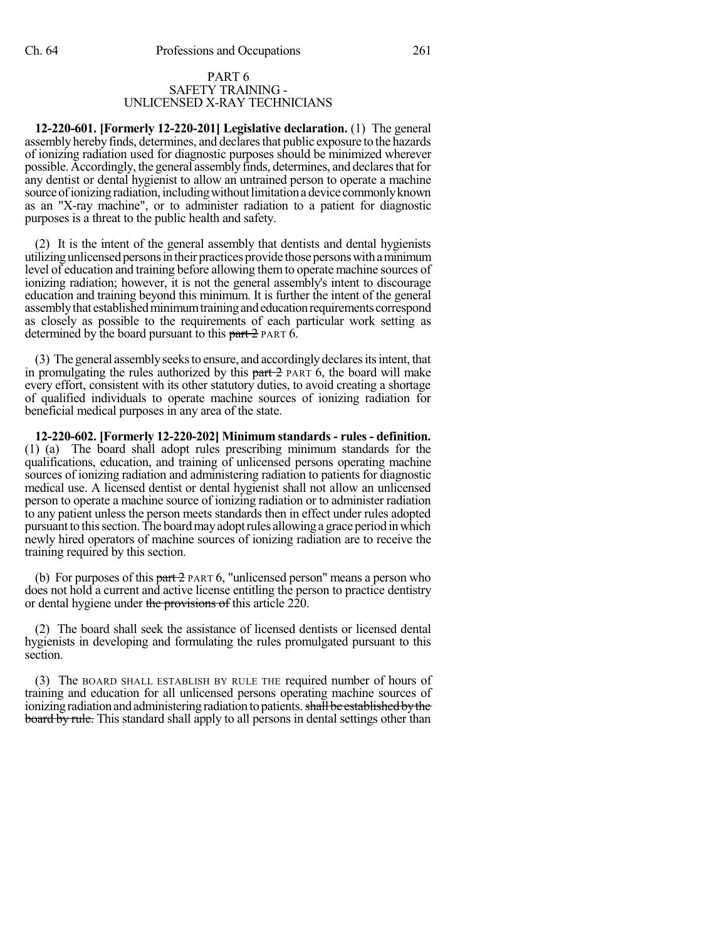#### PART 6 SAFETY TRAINING - UNLICENSED X-RAY TECHNICIANS

**12-220-601. [Formerly 12-220-201] Legislative declaration.** (1) The general assemblyherebyfinds, determines, and declaresthat public exposure to the hazards of ionizing radiation used for diagnostic purposes should be minimized wherever possible. Accordingly, the general assembly finds, determines, and declares that for any dentist or dental hygienist to allow an untrained person to operate a machine source of ionizing radiation, including without limitation a device commonly known as an "X-ray machine", or to administer radiation to a patient for diagnostic purposes is a threat to the public health and safety.

(2) It is the intent of the general assembly that dentists and dental hygienists utilizing unlicensed persons in their practices provide those persons with a minimum level of education and training before allowing themto operate machine sources of ionizing radiation; however, it is not the general assembly's intent to discourage education and training beyond this minimum. It is further the intent of the general assembly that established minimum training and education requirements correspond as closely as possible to the requirements of each particular work setting as determined by the board pursuant to this part  $2$  PART 6.

(3) The general assembly seeks to ensure, and accordingly declares its intent, that in promulgating the rules authorized by this  $part 2$  PART 6, the board will make every effort, consistent with its other statutory duties, to avoid creating a shortage of qualified individuals to operate machine sources of ionizing radiation for beneficial medical purposes in any area of the state.

**12-220-602. [Formerly 12-220-202] Minimum standards - rules - definition.** (1) (a) The board shall adopt rules prescribing minimum standards for the qualifications, education, and training of unlicensed persons operating machine sources of ionizing radiation and administering radiation to patients for diagnostic medical use. A licensed dentist or dental hygienist shall not allow an unlicensed person to operate a machine source of ionizing radiation or to administer radiation to any patient unless the person meets standards then in effect under rules adopted pursuant to this section. The board may adopt rules allowing a grace period in which newly hired operators of machine sources of ionizing radiation are to receive the training required by this section.

(b) For purposes of this  $part 2$  PART 6, "unlicensed person" means a person who does not hold a current and active license entitling the person to practice dentistry or dental hygiene under the provisions of this article 220.

(2) The board shall seek the assistance of licensed dentists or licensed dental hygienists in developing and formulating the rules promulgated pursuant to this section.

(3) The BOARD SHALL ESTABLISH BY RULE THE required number of hours of training and education for all unlicensed persons operating machine sources of ionizing radiation and administering radiation to patients. shall be established by the board by rule. This standard shall apply to all persons in dental settings other than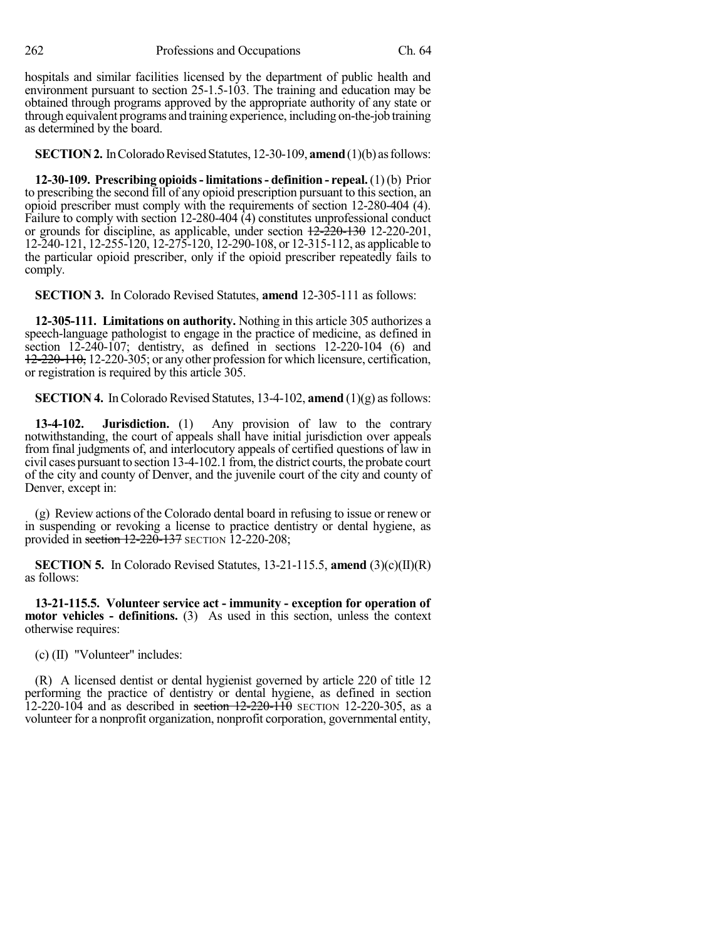262 Professions and Occupations Ch. 64

hospitals and similar facilities licensed by the department of public health and environment pursuant to section 25-1.5-103. The training and education may be obtained through programs approved by the appropriate authority of any state or through equivalent programs and training experience, including on-the-job training as determined by the board.

**SECTION 2.** In Colorado Revised Statutes, 12-30-109, **amend** (1)(b) as follows:

**12-30-109. Prescribing opioids- limitations- definition - repeal.**(1)(b) Prior to prescribing the second fill of any opioid prescription pursuant to this section, an opioid prescriber must comply with the requirements of section 12-280-404 (4). Failure to comply with section 12-280-404 (4) constitutes unprofessional conduct or grounds for discipline, as applicable, under section  $\frac{12-220-130}{220-201}$ , 12-240-121, 12-255-120, 12-275-120, 12-290-108, or 12-315-112, as applicable to the particular opioid prescriber, only if the opioid prescriber repeatedly fails to comply.

**SECTION 3.** In Colorado Revised Statutes, **amend** 12-305-111 as follows:

**12-305-111. Limitations on authority.** Nothing in this article 305 authorizes a speech-language pathologist to engage in the practice of medicine, as defined in section 12-240-107; dentistry, as defined in sections 12-220-104 (6) and 12-220-110, 12-220-305; or any other profession for which licensure, certification, or registration is required by this article 305.

**SECTION 4.** In Colorado Revised Statutes, 13-4-102, **amend**  $(1)(g)$  as follows:

**13-4-102. Jurisdiction.** (1) Any provision of law to the contrary notwithstanding, the court of appeals shall have initial jurisdiction over appeals from final judgments of, and interlocutory appeals of certified questions of law in civil cases pursuant to section 13-4-102.1 from, the district courts, the probate court of the city and county of Denver, and the juvenile court of the city and county of Denver, except in:

(g) Review actions of the Colorado dental board in refusing to issue or renew or in suspending or revoking a license to practice dentistry or dental hygiene, as provided in section 12-220-137 SECTION 12-220-208;

**SECTION 5.** In Colorado Revised Statutes, 13-21-115.5, **amend** (3)(c)(II)(R) as follows:

**13-21-115.5. Volunteer service act - immunity - exception for operation of motor vehicles - definitions.** (3) As used in this section, unless the context otherwise requires:

(c) (II) "Volunteer" includes:

(R) A licensed dentist or dental hygienist governed by article 220 of title 12 performing the practice of dentistry or dental hygiene, as defined in section  $12-220-104$  and as described in section  $12-220-110$  SECTION 12-220-305, as a volunteer for a nonprofit organization, nonprofit corporation, governmental entity,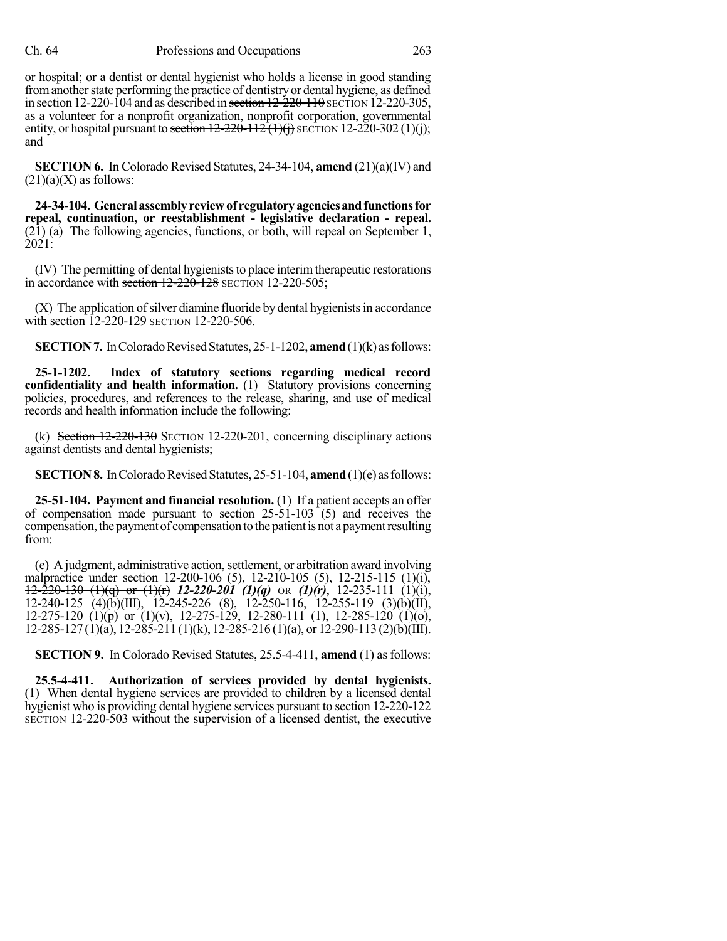or hospital; or a dentist or dental hygienist who holds a license in good standing from another state performing the practice of dentistry or dental hygiene, as defined in section  $12-220-104$  and as described in section  $12-220-110$  SECTION  $12-220-305$ , as a volunteer for a nonprofit organization, nonprofit corporation, governmental entity, or hospital pursuant to section  $12-220-112(1)(i)$  SECTION 12-220-302 (1)(i); and

**SECTION 6.** In Colorado Revised Statutes, 24-34-104, **amend** (21)(a)(IV) and  $(21)(a)(X)$  as follows:

**24-34-104. Generalassemblyreviewof regulatoryagenciesandfunctionsfor repeal, continuation, or reestablishment - legislative declaration - repeal.** (21) (a) The following agencies, functions, or both, will repeal on September 1, 2021:

(IV) The permitting of dental hygieniststo place interimtherapeutic restorations in accordance with section  $12-220-128$  SECTION 12-220-505;

 $(X)$  The application of silver diamine fluoride by dental hygienists in accordance with section  $12-220-129$  SECTION 12-220-506.

**SECTION 7.** In Colorado Revised Statutes, 25-1-1202, **amend** (1)(k) as follows:

**25-1-1202. Index of statutory sections regarding medical record confidentiality and health information.** (1) Statutory provisions concerning policies, procedures, and references to the release, sharing, and use of medical records and health information include the following:

(k) Section 12-220-130 SECTION 12-220-201, concerning disciplinary actions against dentists and dental hygienists;

**SECTION 8.** In Colorado Revised Statutes, 25-51-104, **amend** (1)(e) as follows:

**25-51-104. Payment and financial resolution.** (1) If a patient accepts an offer of compensation made pursuant to section  $25-51-103$  (5) and receives the compensation, the payment of compensation to the patient is not a payment resulting from:

(e) A judgment, administrative action,settlement, or arbitration award involving malpractice under section 12-200-106 (5), 12-210-105 (5), 12-215-115 (1)(i), 12-220-130 (1)(q) or (1)(r) *12-220-201 (1)(q)* OR *(1)(r)*, 12-235-111 (1)(i), 12-240-125 (4)(b)(III), 12-245-226 (8), 12-250-116, 12-255-119 (3)(b)(II), 12-275-120 (1)(p) or (1)(v), 12-275-129, 12-280-111 (1), 12-285-120 (1)(o), 12-285-127 (1)(a), 12-285-211 (1)(k), 12-285-216 (1)(a), or 12-290-113 (2)(b)(III).

**SECTION 9.** In Colorado Revised Statutes, 25.5-4-411, **amend** (1) as follows:

**25.5-4-411. Authorization of services provided by dental hygienists.** (1) When dental hygiene services are provided to children by a licensed dental hygienist who is providing dental hygiene services pursuant to section 12-220-122 SECTION 12-220-503 without the supervision of a licensed dentist, the executive